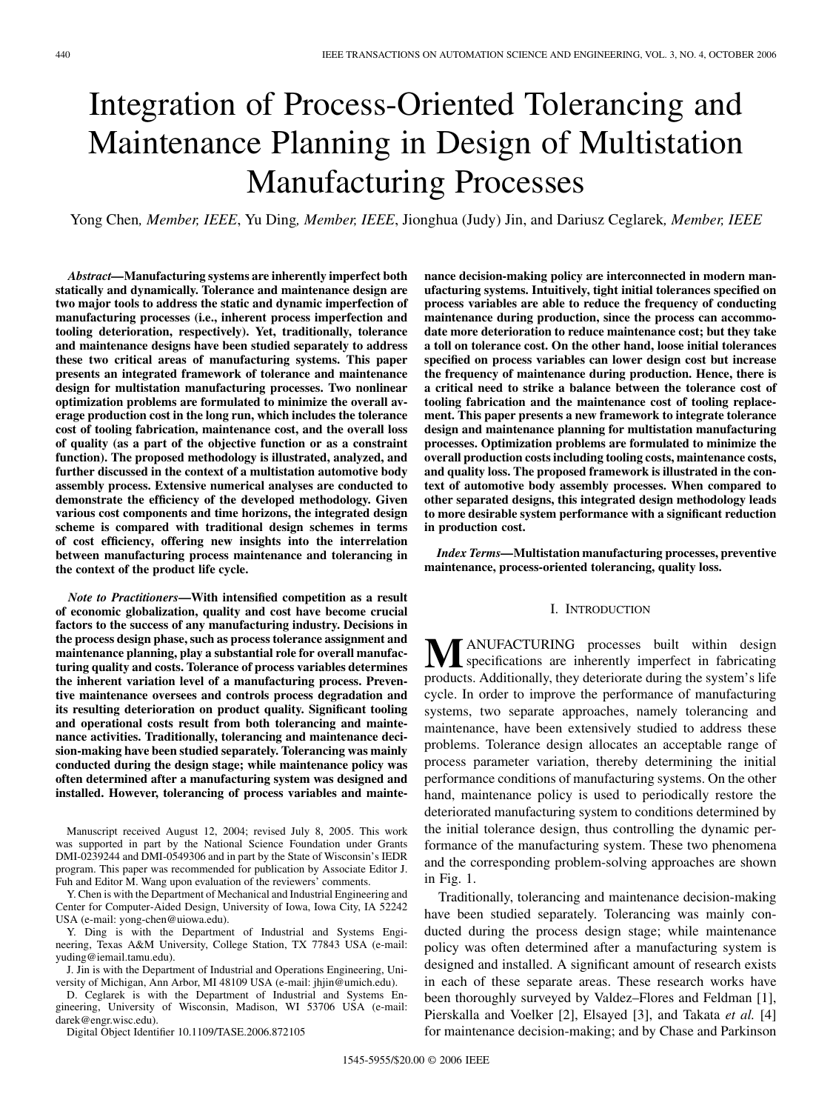# Integration of Process-Oriented Tolerancing and Maintenance Planning in Design of Multistation Manufacturing Processes

Yong Chen*, Member, IEEE*, Yu Ding*, Member, IEEE*, Jionghua (Judy) Jin, and Dariusz Ceglarek*, Member, IEEE*

*Abstract—***Manufacturing systems are inherently imperfect both statically and dynamically. Tolerance and maintenance design are two major tools to address the static and dynamic imperfection of manufacturing processes (i.e., inherent process imperfection and tooling deterioration, respectively). Yet, traditionally, tolerance and maintenance designs have been studied separately to address these two critical areas of manufacturing systems. This paper presents an integrated framework of tolerance and maintenance design for multistation manufacturing processes. Two nonlinear optimization problems are formulated to minimize the overall average production cost in the long run, which includes the tolerance cost of tooling fabrication, maintenance cost, and the overall loss of quality (as a part of the objective function or as a constraint function). The proposed methodology is illustrated, analyzed, and further discussed in the context of a multistation automotive body assembly process. Extensive numerical analyses are conducted to demonstrate the efficiency of the developed methodology. Given various cost components and time horizons, the integrated design scheme is compared with traditional design schemes in terms of cost efficiency, offering new insights into the interrelation between manufacturing process maintenance and tolerancing in the context of the product life cycle.**

*Note to Practitioners***—With intensified competition as a result of economic globalization, quality and cost have become crucial factors to the success of any manufacturing industry. Decisions in the process design phase, such as process tolerance assignment and maintenance planning, play a substantial role for overall manufacturing quality and costs. Tolerance of process variables determines the inherent variation level of a manufacturing process. Preventive maintenance oversees and controls process degradation and its resulting deterioration on product quality. Significant tooling and operational costs result from both tolerancing and maintenance activities. Traditionally, tolerancing and maintenance decision-making have been studied separately. Tolerancing was mainly conducted during the design stage; while maintenance policy was often determined after a manufacturing system was designed and installed. However, tolerancing of process variables and mainte-**

Manuscript received August 12, 2004; revised July 8, 2005. This work was supported in part by the National Science Foundation under Grants DMI-0239244 and DMI-0549306 and in part by the State of Wisconsin's IEDR program. This paper was recommended for publication by Associate Editor J. Fuh and Editor M. Wang upon evaluation of the reviewers' comments.

Y. Chen is with the Department of Mechanical and Industrial Engineering and Center for Computer-Aided Design, University of Iowa, Iowa City, IA 52242 USA (e-mail: yong-chen@uiowa.edu).

Y. Ding is with the Department of Industrial and Systems Engineering, Texas A&M University, College Station, TX 77843 USA (e-mail: yuding@iemail.tamu.edu).

J. Jin is with the Department of Industrial and Operations Engineering, University of Michigan, Ann Arbor, MI 48109 USA (e-mail: jhjin@umich.edu).

D. Ceglarek is with the Department of Industrial and Systems Engineering, University of Wisconsin, Madison, WI 53706 USA (e-mail: darek@engr.wisc.edu).

Digital Object Identifier 10.1109/TASE.2006.872105

**nance decision-making policy are interconnected in modern manufacturing systems. Intuitively, tight initial tolerances specified on process variables are able to reduce the frequency of conducting maintenance during production, since the process can accommodate more deterioration to reduce maintenance cost; but they take a toll on tolerance cost. On the other hand, loose initial tolerances specified on process variables can lower design cost but increase the frequency of maintenance during production. Hence, there is a critical need to strike a balance between the tolerance cost of tooling fabrication and the maintenance cost of tooling replacement. This paper presents a new framework to integrate tolerance design and maintenance planning for multistation manufacturing processes. Optimization problems are formulated to minimize the overall production costs including tooling costs, maintenance costs, and quality loss. The proposed framework is illustrated in the context of automotive body assembly processes. When compared to other separated designs, this integrated design methodology leads to more desirable system performance with a significant reduction in production cost.**

*Index Terms—***Multistation manufacturing processes, preventive maintenance, process-oriented tolerancing, quality loss.**

#### I. INTRODUCTION

**M**ANUFACTURING processes built within design specifications are inherently imperfect in fabricating and alterial specification of a straight specification of the straight specification of the straight specification of the products. Additionally, they deteriorate during the system's life cycle. In order to improve the performance of manufacturing systems, two separate approaches, namely tolerancing and maintenance, have been extensively studied to address these problems. Tolerance design allocates an acceptable range of process parameter variation, thereby determining the initial performance conditions of manufacturing systems. On the other hand, maintenance policy is used to periodically restore the deteriorated manufacturing system to conditions determined by the initial tolerance design, thus controlling the dynamic performance of the manufacturing system. These two phenomena and the corresponding problem-solving approaches are shown in Fig. 1.

Traditionally, tolerancing and maintenance decision-making have been studied separately. Tolerancing was mainly conducted during the process design stage; while maintenance policy was often determined after a manufacturing system is designed and installed. A significant amount of research exists in each of these separate areas. These research works have been thoroughly surveyed by Valdez–Flores and Feldman [[1\]](#page-12-0), Pierskalla and Voelker [\[2](#page-12-0)], Elsayed [[3\]](#page-12-0), and Takata *et al.* [\[4](#page-12-0)] for maintenance decision-making; and by Chase and Parkinson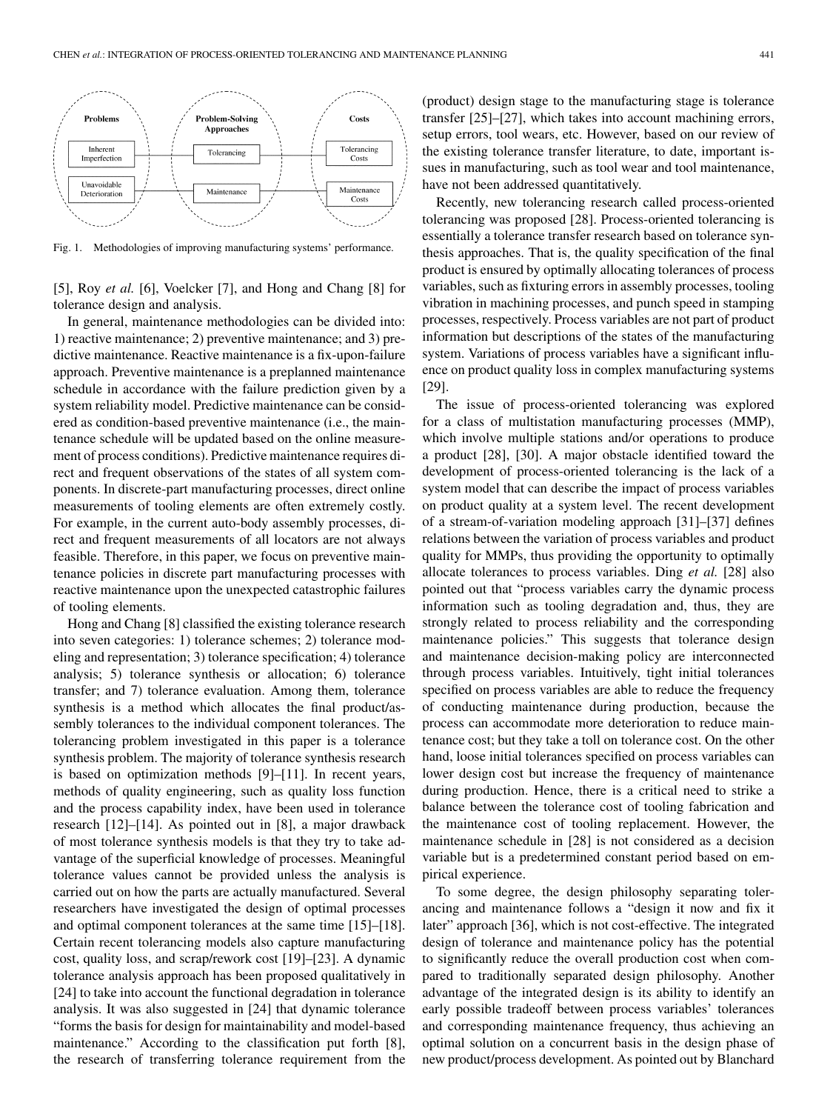

Fig. 1. Methodologies of improving manufacturing systems' performance.

[\[5](#page-12-0)], Roy *et al.* [[6\]](#page-12-0), Voelcker [\[7](#page-12-0)], and Hong and Chang [[8\]](#page-12-0) for tolerance design and analysis.

In general, maintenance methodologies can be divided into: 1) reactive maintenance; 2) preventive maintenance; and 3) predictive maintenance. Reactive maintenance is a fix-upon-failure approach. Preventive maintenance is a preplanned maintenance schedule in accordance with the failure prediction given by a system reliability model. Predictive maintenance can be considered as condition-based preventive maintenance (i.e., the maintenance schedule will be updated based on the online measurement of process conditions). Predictive maintenance requires direct and frequent observations of the states of all system components. In discrete-part manufacturing processes, direct online measurements of tooling elements are often extremely costly. For example, in the current auto-body assembly processes, direct and frequent measurements of all locators are not always feasible. Therefore, in this paper, we focus on preventive maintenance policies in discrete part manufacturing processes with reactive maintenance upon the unexpected catastrophic failures of tooling elements.

Hong and Chang [\[8](#page-12-0)] classified the existing tolerance research into seven categories: 1) tolerance schemes; 2) tolerance modeling and representation; 3) tolerance specification; 4) tolerance analysis; 5) tolerance synthesis or allocation; 6) tolerance transfer; and 7) tolerance evaluation. Among them, tolerance synthesis is a method which allocates the final product/assembly tolerances to the individual component tolerances. The tolerancing problem investigated in this paper is a tolerance synthesis problem. The majority of tolerance synthesis research is based on optimization methods [\[9](#page-12-0)]–[[11\]](#page-12-0). In recent years, methods of quality engineering, such as quality loss function and the process capability index, have been used in tolerance research [[12\]](#page-12-0)–[\[14](#page-12-0)]. As pointed out in [\[8](#page-12-0)], a major drawback of most tolerance synthesis models is that they try to take advantage of the superficial knowledge of processes. Meaningful tolerance values cannot be provided unless the analysis is carried out on how the parts are actually manufactured. Several researchers have investigated the design of optimal processes and optimal component tolerances at the same time [[15\]](#page-12-0)–[\[18](#page-12-0)]. Certain recent tolerancing models also capture manufacturing cost, quality loss, and scrap/rework cost [[19\]](#page-12-0)–[\[23](#page-12-0)]. A dynamic tolerance analysis approach has been proposed qualitatively in [\[24](#page-12-0)] to take into account the functional degradation in tolerance analysis. It was also suggested in [\[24](#page-12-0)] that dynamic tolerance "forms the basis for design for maintainability and model-based maintenance." According to the classification put forth [\[8](#page-12-0)], the research of transferring tolerance requirement from the

(product) design stage to the manufacturing stage is tolerance transfer [[25\]](#page-12-0)–[\[27](#page-12-0)], which takes into account machining errors, setup errors, tool wears, etc. However, based on our review of the existing tolerance transfer literature, to date, important issues in manufacturing, such as tool wear and tool maintenance, have not been addressed quantitatively.

Recently, new tolerancing research called process-oriented tolerancing was proposed [[28\]](#page-12-0). Process-oriented tolerancing is essentially a tolerance transfer research based on tolerance synthesis approaches. That is, the quality specification of the final product is ensured by optimally allocating tolerances of process variables, such as fixturing errors in assembly processes, tooling vibration in machining processes, and punch speed in stamping processes, respectively. Process variables are not part of product information but descriptions of the states of the manufacturing system. Variations of process variables have a significant influence on product quality loss in complex manufacturing systems [\[29](#page-12-0)].

The issue of process-oriented tolerancing was explored for a class of multistation manufacturing processes (MMP), which involve multiple stations and/or operations to produce a product [[28\]](#page-12-0), [[30\]](#page-12-0). A major obstacle identified toward the development of process-oriented tolerancing is the lack of a system model that can describe the impact of process variables on product quality at a system level. The recent development of a stream-of-variation modeling approach [[31\]](#page-12-0)–[\[37](#page-12-0)] defines relations between the variation of process variables and product quality for MMPs, thus providing the opportunity to optimally allocate tolerances to process variables. Ding *et al.* [\[28](#page-12-0)] also pointed out that "process variables carry the dynamic process information such as tooling degradation and, thus, they are strongly related to process reliability and the corresponding maintenance policies." This suggests that tolerance design and maintenance decision-making policy are interconnected through process variables. Intuitively, tight initial tolerances specified on process variables are able to reduce the frequency of conducting maintenance during production, because the process can accommodate more deterioration to reduce maintenance cost; but they take a toll on tolerance cost. On the other hand, loose initial tolerances specified on process variables can lower design cost but increase the frequency of maintenance during production. Hence, there is a critical need to strike a balance between the tolerance cost of tooling fabrication and the maintenance cost of tooling replacement. However, the maintenance schedule in [\[28](#page-12-0)] is not considered as a decision variable but is a predetermined constant period based on empirical experience.

To some degree, the design philosophy separating tolerancing and maintenance follows a "design it now and fix it later" approach [[36\]](#page-12-0), which is not cost-effective. The integrated design of tolerance and maintenance policy has the potential to significantly reduce the overall production cost when compared to traditionally separated design philosophy. Another advantage of the integrated design is its ability to identify an early possible tradeoff between process variables' tolerances and corresponding maintenance frequency, thus achieving an optimal solution on a concurrent basis in the design phase of new product/process development. As pointed out by Blanchard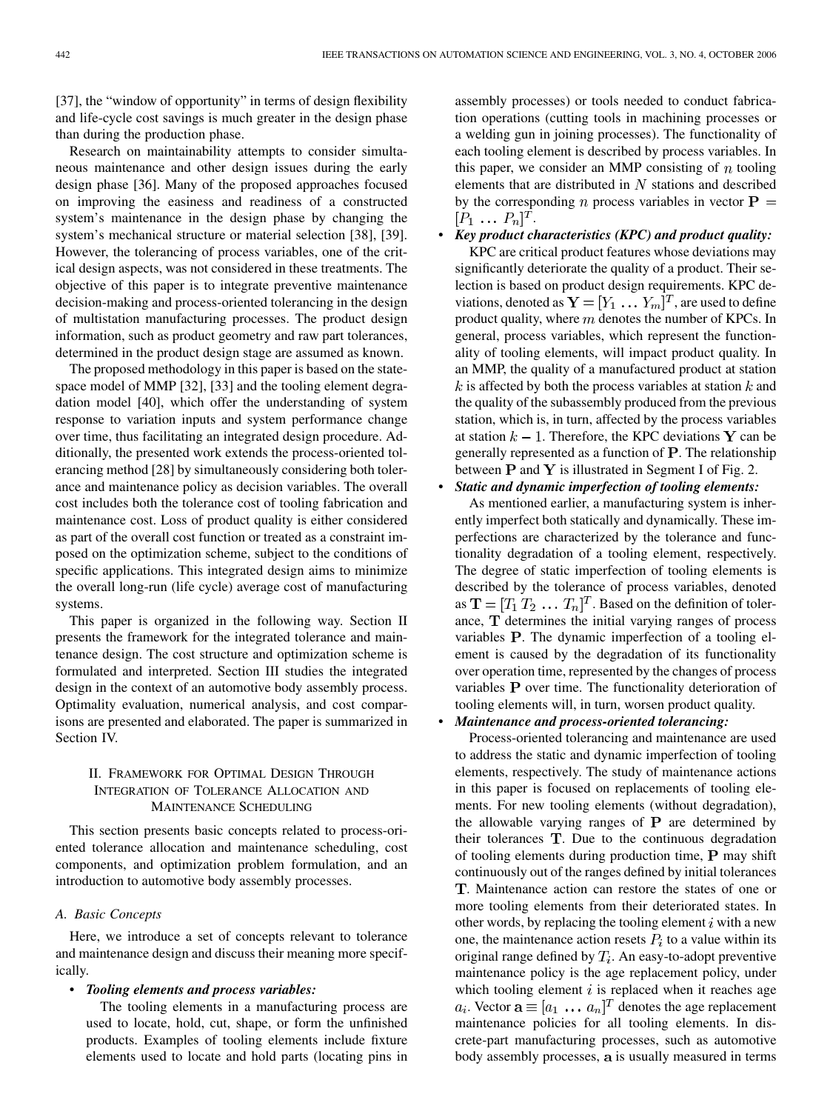[[37\]](#page-12-0), the "window of opportunity" in terms of design flexibility and life-cycle cost savings is much greater in the design phase than during the production phase.

Research on maintainability attempts to consider simultaneous maintenance and other design issues during the early design phase [\[36](#page-12-0)]. Many of the proposed approaches focused on improving the easiness and readiness of a constructed system's maintenance in the design phase by changing the system's mechanical structure or material selection [[38\]](#page-12-0), [[39\]](#page-12-0). However, the tolerancing of process variables, one of the critical design aspects, was not considered in these treatments. The objective of this paper is to integrate preventive maintenance decision-making and process-oriented tolerancing in the design of multistation manufacturing processes. The product design information, such as product geometry and raw part tolerances, determined in the product design stage are assumed as known.

The proposed methodology in this paper is based on the statespace model of MMP [[32\]](#page-12-0), [\[33](#page-12-0)] and the tooling element degradation model [\[40](#page-13-0)], which offer the understanding of system response to variation inputs and system performance change over time, thus facilitating an integrated design procedure. Additionally, the presented work extends the process-oriented tolerancing method [\[28](#page-12-0)] by simultaneously considering both tolerance and maintenance policy as decision variables. The overall cost includes both the tolerance cost of tooling fabrication and maintenance cost. Loss of product quality is either considered as part of the overall cost function or treated as a constraint imposed on the optimization scheme, subject to the conditions of specific applications. This integrated design aims to minimize the overall long-run (life cycle) average cost of manufacturing systems.

This paper is organized in the following way. Section II presents the framework for the integrated tolerance and maintenance design. The cost structure and optimization scheme is formulated and interpreted. Section III studies the integrated design in the context of an automotive body assembly process. Optimality evaluation, numerical analysis, and cost comparisons are presented and elaborated. The paper is summarized in Section IV.

# II. FRAMEWORK FOR OPTIMAL DESIGN THROUGH INTEGRATION OF TOLERANCE ALLOCATION AND MAINTENANCE SCHEDULING

This section presents basic concepts related to process-oriented tolerance allocation and maintenance scheduling, cost components, and optimization problem formulation, and an introduction to automotive body assembly processes.

# *A. Basic Concepts*

Here, we introduce a set of concepts relevant to tolerance and maintenance design and discuss their meaning more specifically.

# • *Tooling elements and process variables:*

The tooling elements in a manufacturing process are used to locate, hold, cut, shape, or form the unfinished products. Examples of tooling elements include fixture elements used to locate and hold parts (locating pins in assembly processes) or tools needed to conduct fabrication operations (cutting tools in machining processes or a welding gun in joining processes). The functionality of each tooling element is described by process variables. In this paper, we consider an MMP consisting of  $n$  tooling elements that are distributed in  $N$  stations and described by the corresponding *n* process variables in vector  $P =$  $[P_1 \dots P_n]^T$ .

- *Key product characteristics (KPC) and product quality:* KPC are critical product features whose deviations may significantly deteriorate the quality of a product. Their selection is based on product design requirements. KPC deviations, denoted as  $\mathbf{Y} = [Y_1 \dots Y_m]^T$ , are used to define product quality, where  $m$  denotes the number of KPCs. In general, process variables, which represent the functionality of tooling elements, will impact product quality. In an MMP, the quality of a manufactured product at station  $k$  is affected by both the process variables at station  $k$  and the quality of the subassembly produced from the previous station, which is, in turn, affected by the process variables at station  $k - 1$ . Therefore, the KPC deviations Y can be generally represented as a function of  $P$ . The relationship between  $P$  and  $Y$  is illustrated in Segment I of Fig. 2.
- *Static and dynamic imperfection of tooling elements:*

As mentioned earlier, a manufacturing system is inherently imperfect both statically and dynamically. These imperfections are characterized by the tolerance and functionality degradation of a tooling element, respectively. The degree of static imperfection of tooling elements is described by the tolerance of process variables, denoted as  $\mathbf{T} = [T_1 T_2 \dots T_n]^T$ . Based on the definition of tolerance,  **determines the initial varying ranges of process** variables  $P$ . The dynamic imperfection of a tooling element is caused by the degradation of its functionality over operation time, represented by the changes of process variables  $P$  over time. The functionality deterioration of tooling elements will, in turn, worsen product quality.

# • *Maintenance and process-oriented tolerancing:*

Process-oriented tolerancing and maintenance are used to address the static and dynamic imperfection of tooling elements, respectively. The study of maintenance actions in this paper is focused on replacements of tooling elements. For new tooling elements (without degradation), the allowable varying ranges of  $P$  are determined by their tolerances  $T$ . Due to the continuous degradation of tooling elements during production time,  $P$  may shift continuously out of the ranges defined by initial tolerances . Maintenance action can restore the states of one or more tooling elements from their deteriorated states. In other words, by replacing the tooling element  $i$  with a new one, the maintenance action resets  $P_i$  to a value within its original range defined by  $T_i$ . An easy-to-adopt preventive maintenance policy is the age replacement policy, under which tooling element  $i$  is replaced when it reaches age  $a_i$ . Vector  $\mathbf{a} \equiv [a_1 \dots a_n]^T$  denotes the age replacement maintenance policies for all tooling elements. In discrete-part manufacturing processes, such as automotive body assembly processes, a is usually measured in terms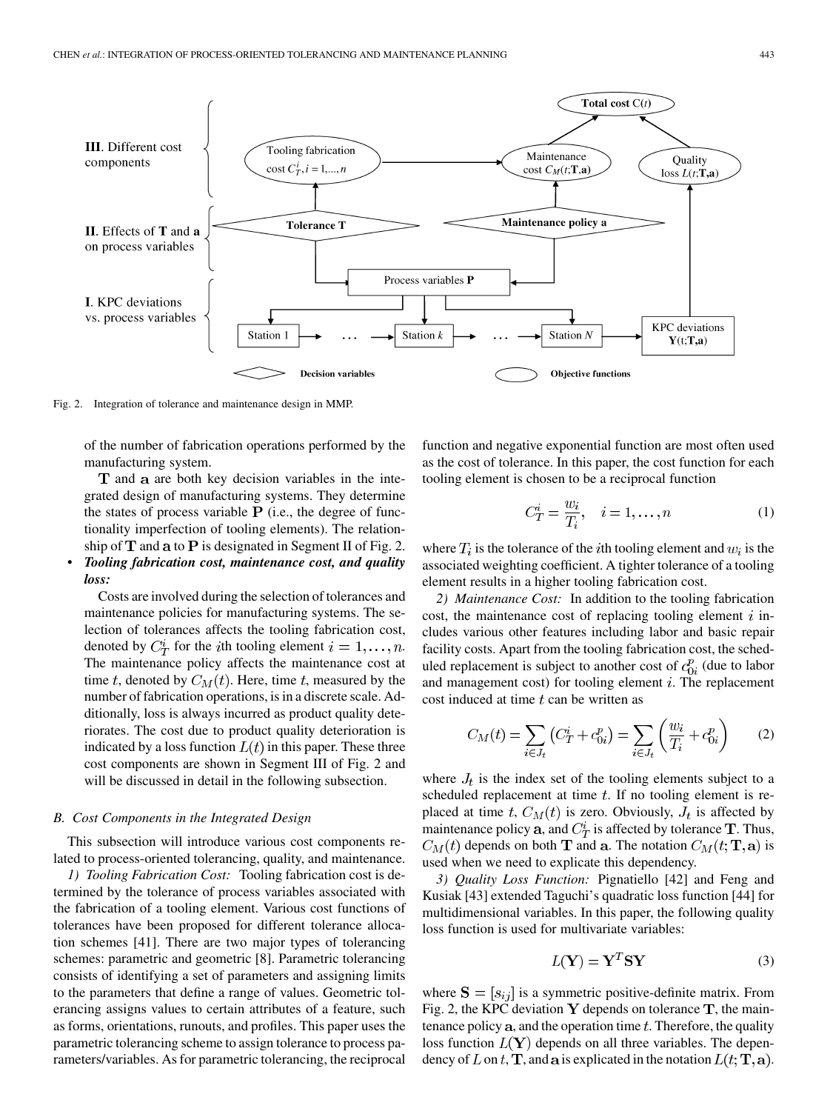

Fig. 2. Integration of tolerance and maintenance design in MMP.

of the number of fabrication operations performed by the manufacturing system.

T and a are both key decision variables in the integrated design of manufacturing systems. They determine the states of process variable  $P$  (i.e., the degree of functionality imperfection of tooling elements). The relationship of  $T$  and  $a$  to  $P$  is designated in Segment II of Fig. 2. • *Tooling fabrication cost, maintenance cost, and quality*

# *loss:*

Costs are involved during the selection of tolerances and maintenance policies for manufacturing systems. The selection of tolerances affects the tooling fabrication cost, denoted by  $C_T^i$  for the *i*th tooling element  $i = 1, \ldots, n$ . The maintenance policy affects the maintenance cost at time t, denoted by  $C_M(t)$ . Here, time t, measured by the number of fabrication operations, is in a discrete scale. Additionally, loss is always incurred as product quality deteriorates. The cost due to product quality deterioration is indicated by a loss function  $L(t)$  in this paper. These three cost components are shown in Segment III of Fig. 2 and will be discussed in detail in the following subsection.

#### *B. Cost Components in the Integrated Design*

This subsection will introduce various cost components related to process-oriented tolerancing, quality, and maintenance.

*1) Tooling Fabrication Cost:* Tooling fabrication cost is determined by the tolerance of process variables associated with the fabrication of a tooling element. Various cost functions of tolerances have been proposed for different tolerance allocation schemes [\[41](#page-13-0)]. There are two major types of tolerancing schemes: parametric and geometric [\[8](#page-12-0)]. Parametric tolerancing consists of identifying a set of parameters and assigning limits to the parameters that define a range of values. Geometric tolerancing assigns values to certain attributes of a feature, such as forms, orientations, runouts, and profiles. This paper uses the parametric tolerancing scheme to assign tolerance to process parameters/variables. As for parametric tolerancing, the reciprocal

function and negative exponential function are most often used as the cost of tolerance. In this paper, the cost function for each tooling element is chosen to be a reciprocal function

$$
C_T^i = \frac{w_i}{T_i}, \quad i = 1, \dots, n \tag{1}
$$

where  $T_i$  is the tolerance of the *i*th tooling element and  $w_i$  is the associated weighting coefficient. A tighter tolerance of a tooling element results in a higher tooling fabrication cost.

*2) Maintenance Cost:* In addition to the tooling fabrication cost, the maintenance cost of replacing tooling element  $i$  includes various other features including labor and basic repair facility costs. Apart from the tooling fabrication cost, the scheduled replacement is subject to another cost of  $c_{0i}^p$  (due to labor and management cost) for tooling element  $i$ . The replacement cost induced at time  $t$  can be written as

$$
C_M(t) = \sum_{i \in J_t} \left( C_T^i + c_{0i}^p \right) = \sum_{i \in J_t} \left( \frac{w_i}{T_i} + c_{0i}^p \right) \tag{2}
$$

where  $J_t$  is the index set of the tooling elements subject to a scheduled replacement at time  $t$ . If no tooling element is replaced at time t,  $C_M(t)$  is zero. Obviously,  $J_t$  is affected by maintenance policy  $\mathbf{a}$ , and  $C_T^i$  is affected by tolerance **T**. Thus,  $C_M(t)$  depends on both **T** and **a**. The notation  $C_M(t; \mathbf{T}, \mathbf{a})$  is used when we need to explicate this dependency.

*3) Quality Loss Function:* Pignatiello [\[42](#page-13-0)] and Feng and Kusiak [[43\]](#page-13-0) extended Taguchi's quadratic loss function [\[44](#page-13-0)] for multidimensional variables. In this paper, the following quality loss function is used for multivariate variables:

$$
L(Y) = Y^T S Y \tag{3}
$$

where  $S = [s_{ij}]$  is a symmetric positive-definite matrix. From Fig. 2, the KPC deviation  $Y$  depends on tolerance  $T$ , the maintenance policy  $a$ , and the operation time  $t$ . Therefore, the quality loss function  $L(Y)$  depends on all three variables. The dependency of L on t, T, and a is explicated in the notation  $L(t; \mathbf{T}, \mathbf{a})$ .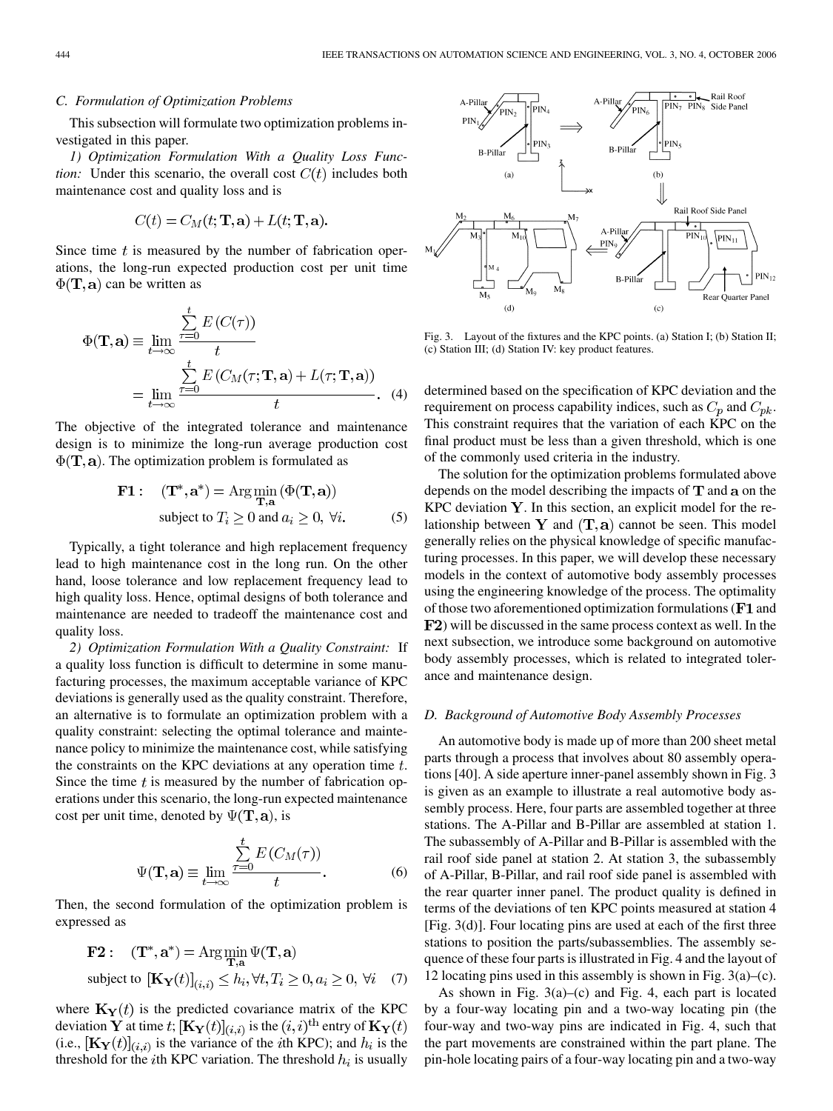#### *C. Formulation of Optimization Problems*

This subsection will formulate two optimization problems investigated in this paper.

*1) Optimization Formulation With a Quality Loss Function:* Under this scenario, the overall cost  $C(t)$  includes both maintenance cost and quality loss and is

$$
C(t) = C_M(t; \mathbf{T}, \mathbf{a}) + L(t; \mathbf{T}, \mathbf{a}).
$$

Since time  $t$  is measured by the number of fabrication operations, the long-run expected production cost per unit time  $\Phi(T, a)$  can be written as

$$
\Phi(\mathbf{T}, \mathbf{a}) \equiv \lim_{t \to \infty} \frac{\sum_{\tau=0}^{t} E(C(\tau))}{t}
$$
\n
$$
= \lim_{t \to \infty} \frac{\sum_{\tau=0}^{t} E(C_M(\tau; \mathbf{T}, \mathbf{a}) + L(\tau; \mathbf{T}, \mathbf{a}))}{t}.
$$
\n(4)

The objective of the integrated tolerance and maintenance design is to minimize the long-run average production cost  $\Phi(T, a)$ . The optimization problem is formulated as

**F1**: 
$$
(\mathbf{T}^*, \mathbf{a}^*)
$$
 =  $\text{Arg}\min_{\mathbf{T}, \mathbf{a}} (\Phi(\mathbf{T}, \mathbf{a}))$   
subject to  $T_i \ge 0$  and  $a_i \ge 0$ ,  $\forall i$ . (5)

Typically, a tight tolerance and high replacement frequency lead to high maintenance cost in the long run. On the other hand, loose tolerance and low replacement frequency lead to high quality loss. Hence, optimal designs of both tolerance and maintenance are needed to tradeoff the maintenance cost and quality loss.

*2) Optimization Formulation With a Quality Constraint:* If a quality loss function is difficult to determine in some manufacturing processes, the maximum acceptable variance of KPC deviations is generally used as the quality constraint. Therefore, an alternative is to formulate an optimization problem with a quality constraint: selecting the optimal tolerance and maintenance policy to minimize the maintenance cost, while satisfying the constraints on the KPC deviations at any operation time  $t$ . Since the time  $t$  is measured by the number of fabrication operations under this scenario, the long-run expected maintenance cost per unit time, denoted by  $\Psi(\mathbf{T}, \mathbf{a})$ , is

$$
\Psi(\mathbf{T}, \mathbf{a}) \equiv \lim_{t \to \infty} \frac{\sum_{\tau=0}^{t} E(C_M(\tau))}{t}.
$$
\n(6)

Then, the second formulation of the optimization problem is expressed as

**F2**: 
$$
(\mathbf{T}^*, \mathbf{a}^*)
$$
 =  $\operatorname{Arg\,}_{\mathbf{T}, \mathbf{a}}^{\text{min}} \Psi(\mathbf{T}, \mathbf{a})$   
subject to  $[\mathbf{K}_{\mathbf{Y}}(t)]_{(i,i)} \leq h_i, \forall t, T_i \geq 0, a_i \geq 0, \forall i$  (7)

where  $\mathbf{K}_{\mathbf{Y}}(t)$  is the predicted covariance matrix of the KPC deviation Y at time t;  $[\mathbf{K}_{\mathbf{Y}}(t)]_{(i,i)}$  is the  $(i,i)$ <sup>th</sup> entry of  $\mathbf{K}_{\mathbf{Y}}(t)$ (i.e.,  $[\mathbf{K}_{\mathbf{Y}}(t)]_{(i,i)}$  is the variance of the *i*th KPC); and  $h_i$  is the threshold for the *i*th KPC variation. The threshold  $h_i$  is usually



Fig. 3. Layout of the fixtures and the KPC points. (a) Station I; (b) Station II; (c) Station III; (d) Station IV: key product features.

determined based on the specification of KPC deviation and the requirement on process capability indices, such as  $C_p$  and  $C_{pk}$ . This constraint requires that the variation of each KPC on the final product must be less than a given threshold, which is one of the commonly used criteria in the industry.

The solution for the optimization problems formulated above depends on the model describing the impacts of  $T$  and  $a$  on the KPC deviation  $Y$ . In this section, an explicit model for the relationship between  $Y$  and  $(T, a)$  cannot be seen. This model generally relies on the physical knowledge of specific manufacturing processes. In this paper, we will develop these necessary models in the context of automotive body assembly processes using the engineering knowledge of the process. The optimality of those two aforementioned optimization formulations ( $F1$  and ) will be discussed in the same process context as well. In the next subsection, we introduce some background on automotive body assembly processes, which is related to integrated tolerance and maintenance design.

#### *D. Background of Automotive Body Assembly Processes*

An automotive body is made up of more than 200 sheet metal parts through a process that involves about 80 assembly operations [\[40](#page-13-0)]. A side aperture inner-panel assembly shown in Fig. 3 is given as an example to illustrate a real automotive body assembly process. Here, four parts are assembled together at three stations. The A-Pillar and B-Pillar are assembled at station 1. The subassembly of A-Pillar and B-Pillar is assembled with the rail roof side panel at station 2. At station 3, the subassembly of A-Pillar, B-Pillar, and rail roof side panel is assembled with the rear quarter inner panel. The product quality is defined in terms of the deviations of ten KPC points measured at station 4 [Fig. 3(d)]. Four locating pins are used at each of the first three stations to position the parts/subassemblies. The assembly sequence of these four parts is illustrated in Fig. 4 and the layout of 12 locating pins used in this assembly is shown in Fig. 3(a)–(c).

As shown in Fig. 3(a)–(c) and Fig. 4, each part is located by a four-way locating pin and a two-way locating pin (the four-way and two-way pins are indicated in Fig. 4, such that the part movements are constrained within the part plane. The pin-hole locating pairs of a four-way locating pin and a two-way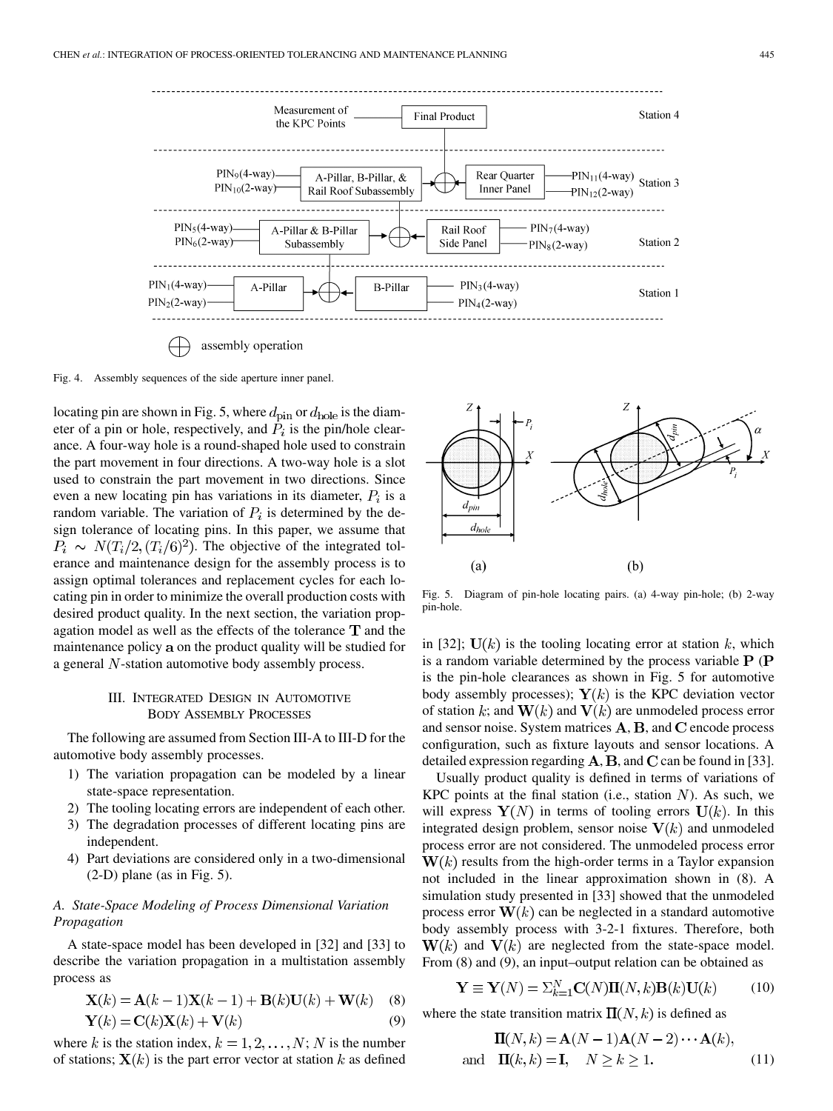

Fig. 4. Assembly sequences of the side aperture inner panel.

locating pin are shown in Fig. 5, where  $d_{\text{pin}}$  or  $d_{\text{hole}}$  is the diameter of a pin or hole, respectively, and  $P_i$  is the pin/hole clearance. A four-way hole is a round-shaped hole used to constrain the part movement in four directions. A two-way hole is a slot used to constrain the part movement in two directions. Since even a new locating pin has variations in its diameter,  $P_i$  is a random variable. The variation of  $P_i$  is determined by the design tolerance of locating pins. In this paper, we assume that  $P_i \sim N(T_i/2, (T_i/6)^2)$ . The objective of the integrated tolerance and maintenance design for the assembly process is to assign optimal tolerances and replacement cycles for each locating pin in order to minimize the overall production costs with desired product quality. In the next section, the variation propagation model as well as the effects of the tolerance  $T$  and the maintenance policy a on the product quality will be studied for a general  $N$ -station automotive body assembly process.

#### III. INTEGRATED DESIGN IN AUTOMOTIVE BODY ASSEMBLY PROCESSES

The following are assumed from Section III-A to III-D for the automotive body assembly processes.

- 1) The variation propagation can be modeled by a linear state-space representation.
- 2) The tooling locating errors are independent of each other.
- 3) The degradation processes of different locating pins are independent.
- 4) Part deviations are considered only in a two-dimensional (2-D) plane (as in Fig. 5).

#### *A. State-Space Modeling of Process Dimensional Variation Propagation*

A state-space model has been developed in [\[32](#page-12-0)] and [\[33](#page-12-0)] to describe the variation propagation in a multistation assembly process as

$$
\mathbf{X}(k) = \mathbf{A}(k-1)\mathbf{X}(k-1) + \mathbf{B}(k)\mathbf{U}(k) + \mathbf{W}(k) \quad (8)
$$

$$
\mathbf{Y}(k) = \mathbf{C}(k)\mathbf{X}(k) + \mathbf{V}(k)
$$
\n(9)

where k is the station index,  $k = 1, 2, ..., N$ ; N is the number of stations;  $\mathbf{X}(k)$  is the part error vector at station k as defined



Fig. 5. Diagram of pin-hole locating pairs. (a) 4-way pin-hole; (b) 2-way pin-hole.

in [[32\]](#page-12-0);  $U(k)$  is the tooling locating error at station k, which is a random variable determined by the process variable  $P(P)$ is the pin-hole clearances as shown in Fig. 5 for automotive body assembly processes);  $Y(k)$  is the KPC deviation vector of station k; and  $W(k)$  and  $V(k)$  are unmodeled process error and sensor noise. System matrices  $A$ ,  $B$ , and  $C$  encode process configuration, such as fixture layouts and sensor locations. A detailed expression regarding  $A$ ,  $B$ , and  $C$  can be found in [\[33](#page-12-0)].

Usually product quality is defined in terms of variations of KPC points at the final station (i.e., station  $N$ ). As such, we will express  $\mathbf{Y}(N)$  in terms of tooling errors  $\mathbf{U}(k)$ . In this integrated design problem, sensor noise  $V(k)$  and unmodeled process error are not considered. The unmodeled process error  **results from the high-order terms in a Taylor expansion** not included in the linear approximation shown in (8). A simulation study presented in [[33\]](#page-12-0) showed that the unmodeled process error  $W(k)$  can be neglected in a standard automotive body assembly process with 3-2-1 fixtures. Therefore, both  $W(k)$  and  $V(k)$  are neglected from the state-space model. From  $(8)$  and  $(9)$ , an input–output relation can be obtained as

$$
\mathbf{Y} \equiv \mathbf{Y}(N) = \sum_{k=1}^{N} \mathbf{C}(N) \mathbf{\Pi}(N,k) \mathbf{B}(k) \mathbf{U}(k) \quad (10)
$$

where the state transition matrix  $\mathbf{\Pi}(N,k)$  is defined as

$$
\mathbf{\Pi}(N,k) = \mathbf{A}(N-1)\mathbf{A}(N-2)\cdots\mathbf{A}(k),
$$
  
and 
$$
\mathbf{\Pi}(k,k) = \mathbf{I}, \quad N \ge k \ge 1.
$$
 (11)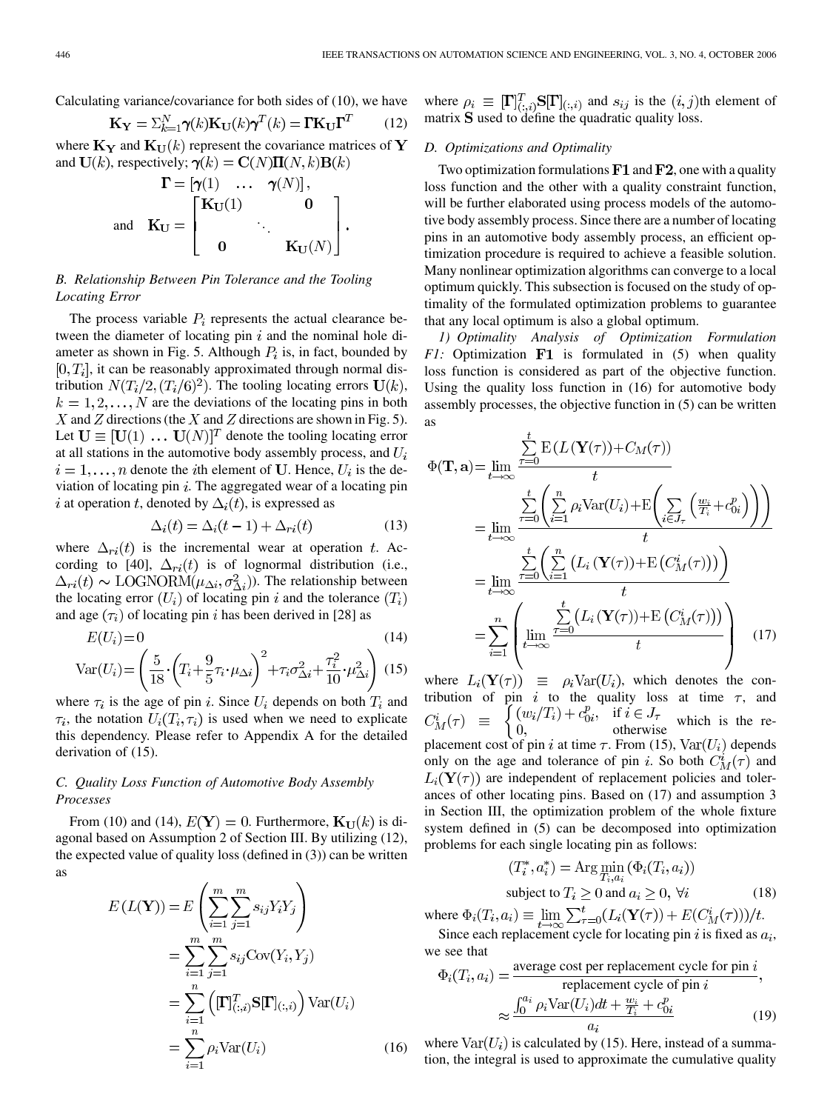Calculating variance/covariance for both sides of (10), we have

$$
\mathbf{K}_{\mathbf{Y}} = \sum_{k=1}^{N} \pmb{\gamma}(k) \mathbf{K}_{\mathbf{U}}(k) \pmb{\gamma}^{T}(k) = \mathbf{\Gamma} \mathbf{K}_{\mathbf{U}} \mathbf{\Gamma}^{T} \tag{12}
$$

where  $\mathbf{K_Y}$  and  $\mathbf{K_U}(k)$  represent the covariance matrices of Y and  $U(k)$ , respectively;  $\gamma(k) = C(N)\Pi(N,k)B(k)$ 

$$
\mathbf{\Gamma} = [\mathbf{\gamma}(1) \quad \dots \quad \mathbf{\gamma}(N)],
$$
  
and 
$$
\mathbf{K}_{\mathbf{U}} = \begin{bmatrix} \mathbf{K}_{\mathbf{U}}(1) & \mathbf{0} \\ & \ddots & \\ \mathbf{0} & \mathbf{K}_{\mathbf{U}}(N) \end{bmatrix}.
$$

#### *B. Relationship Between Pin Tolerance and the Tooling Locating Error*

The process variable  $P_i$  represents the actual clearance between the diameter of locating pin  $i$  and the nominal hole diameter as shown in Fig. 5. Although  $P_i$  is, in fact, bounded by  $[0, T<sub>i</sub>]$ , it can be reasonably approximated through normal distribution  $N(T_i/2, (T_i/6)^2)$ . The tooling locating errors  $\mathbf{U}(k)$ ,  $k = 1, 2, \dots, N$  are the deviations of the locating pins in both  $X$  and  $Z$  directions (the  $X$  and  $Z$  directions are shown in Fig. 5). Let  $\mathbf{U} \equiv [\mathbf{U}(1) \dots \mathbf{U}(N)]^T$  denote the tooling locating error at all stations in the automotive body assembly process, and  $U_i$  $i = 1, \ldots, n$  denote the *i*th element of U. Hence,  $U_i$  is the deviation of locating pin  $i$ . The aggregated wear of a locating pin i at operation t, denoted by  $\Delta_i(t)$ , is expressed as

$$
\Delta_i(t) = \Delta_i(t-1) + \Delta_{ri}(t) \tag{13}
$$

where  $\Delta_{ri}(t)$  is the incremental wear at operation t. Ac-cording to [[40\]](#page-13-0),  $\Delta_{ri}(t)$  is of lognormal distribution (i.e.,  $\Delta_{ri}(t) \sim \text{LOGNORM}(\mu_{\Delta i}, \sigma_{\Delta i}^2)$ ). The relationship between the locating error  $(U_i)$  of locating pin i and the tolerance  $(T_i)$ and age  $(\tau_i)$  of locating pin i has been derived in [[28\]](#page-12-0) as

$$
E(U_i) = 0\tag{14}
$$

$$
\text{Var}(U_i) = \left(\frac{5}{18} \cdot \left(T_i + \frac{9}{5}\tau_i \cdot \mu_{\Delta i}\right)^2 + \tau_i \sigma_{\Delta i}^2 + \frac{\tau_i^2}{10} \cdot \mu_{\Delta i}^2\right)
$$
(15)

where  $\tau_i$  is the age of pin i. Since  $U_i$  depends on both  $T_i$  and  $\tau_i$ , the notation  $U_i(T_i, \tau_i)$  is used when we need to explicate this dependency. Please refer to Appendix A for the detailed derivation of (15).

### *C. Quality Loss Function of Automotive Body Assembly Processes*

From (10) and (14),  $E(Y) = 0$ . Furthermore,  $\mathbf{K}_{\mathbf{U}}(k)$  is diagonal based on Assumption 2 of Section III. By utilizing (12), the expected value of quality loss (defined in (3)) can be written as

$$
E(L(\mathbf{Y})) = E\left(\sum_{i=1}^{m} \sum_{j=1}^{m} s_{ij} Y_i Y_j\right)
$$
  
= 
$$
\sum_{i=1}^{m} \sum_{j=1}^{m} s_{ij} \text{Cov}(Y_i, Y_j)
$$
  
= 
$$
\sum_{i=1}^{n} \left(\mathbf{\Gamma} \big|_{(:,i)}^T \mathbf{S} \mathbf{\Gamma} \big|_{(:,i)}\right) \text{Var}(U_i)
$$
  
= 
$$
\sum_{i=1}^{n} \rho_i \text{Var}(U_i)
$$
 (16)

where  $\rho_i \equiv [\Gamma]^T_{(:,i)} \mathbf{S}[\Gamma]_{(:,i)}$  and  $s_{ij}$  is the  $(i, j)$ th element of matrix  $S$  used to define the quadratic quality loss.

#### *D. Optimizations and Optimality*

Two optimization formulations  $F1$  and  $F2$ , one with a quality loss function and the other with a quality constraint function, will be further elaborated using process models of the automotive body assembly process. Since there are a number of locating pins in an automotive body assembly process, an efficient optimization procedure is required to achieve a feasible solution. Many nonlinear optimization algorithms can converge to a local optimum quickly. This subsection is focused on the study of optimality of the formulated optimization problems to guarantee that any local optimum is also a global optimum.

*1) Optimality Analysis of Optimization Formulation F1:* Optimization  $F1$  is formulated in (5) when quality loss function is considered as part of the objective function. Using the quality loss function in (16) for automotive body assembly processes, the objective function in (5) can be written as

$$
\Phi(\mathbf{T}, \mathbf{a}) = \lim_{t \to \infty} \frac{\sum_{\tau=0}^{t} E(L(\mathbf{Y}(\tau)) + C_M(\tau))}{t}
$$
\n
$$
= \lim_{t \to \infty} \frac{\sum_{\tau=0}^{t} \left( \sum_{i=1}^{n} \rho_i \text{Var}(U_i) + E\left(\sum_{i \in J_{\tau}} \left(\frac{w_i}{T_i} + c_{0i}^p\right)\right) \right)}{t}
$$
\n
$$
= \lim_{t \to \infty} \frac{\sum_{\tau=0}^{t} \left( \sum_{i=1}^{n} \left(L_i(\mathbf{Y}(\tau)) + E\left(C_M^i(\tau)\right)\right) \right)}{t}
$$
\n
$$
= \sum_{i=1}^{n} \left( \lim_{t \to \infty} \frac{\sum_{\tau=0}^{t} \left(L_i(\mathbf{Y}(\tau)) + E\left(C_M^i(\tau)\right)\right)}{t} \right) \tag{17}
$$

where  $L_i(\mathbf{Y}(\tau)) \equiv \rho_i \text{Var}(U_i)$ , which denotes the contribution of pin i to the quality loss at time  $\tau$ , and if  $i \in J_{\tau}$  which is the re-<br>otherwise placement cost of pin i at time  $\tau$ . From (15),  $\text{Var}(U_i)$  depends only on the age and tolerance of pin i. So both  $C_M^i(\tau)$  and  $L_i(\mathbf{Y}(\tau))$  are independent of replacement policies and tolerances of other locating pins. Based on (17) and assumption 3 in Section III, the optimization problem of the whole fixture system defined in (5) can be decomposed into optimization problems for each single locating pin as follows:

$$
(T_i^*, a_i^*) = \text{Arg}\min_{T_i, a_i} (\Phi_i(T_i, a_i))
$$
  
subject to  $T_i \ge 0$  and  $a_i \ge 0$ ,  $\forall i$  (18)

where  $\Phi_i(T_i, a_i) \equiv \lim_{\tau \to 0} \sum_{\tau=0}^{\infty} (L_i(\mathbf{Y}(\tau)) + E(C_M^i(\tau))) / t$ . Since each replacement cycle for locating pin i is fixed as  $a_i$ ,

we see that ast per replacement cycle for pin  $i$ 

$$
\Phi_i(T_i, a_i) = \frac{\text{average cost per replacement cycle for } \mu_i}{\text{replacement cycle of } \rho_i \text{ in } i},
$$

$$
\approx \frac{\int_0^{a_i} \rho_i \text{Var}(U_i) dt + \frac{w_i}{T_i} + c_{0i}^p}{a_i} \tag{19}
$$

where  $Var(U_i)$  is calculated by (15). Here, instead of a summation, the integral is used to approximate the cumulative quality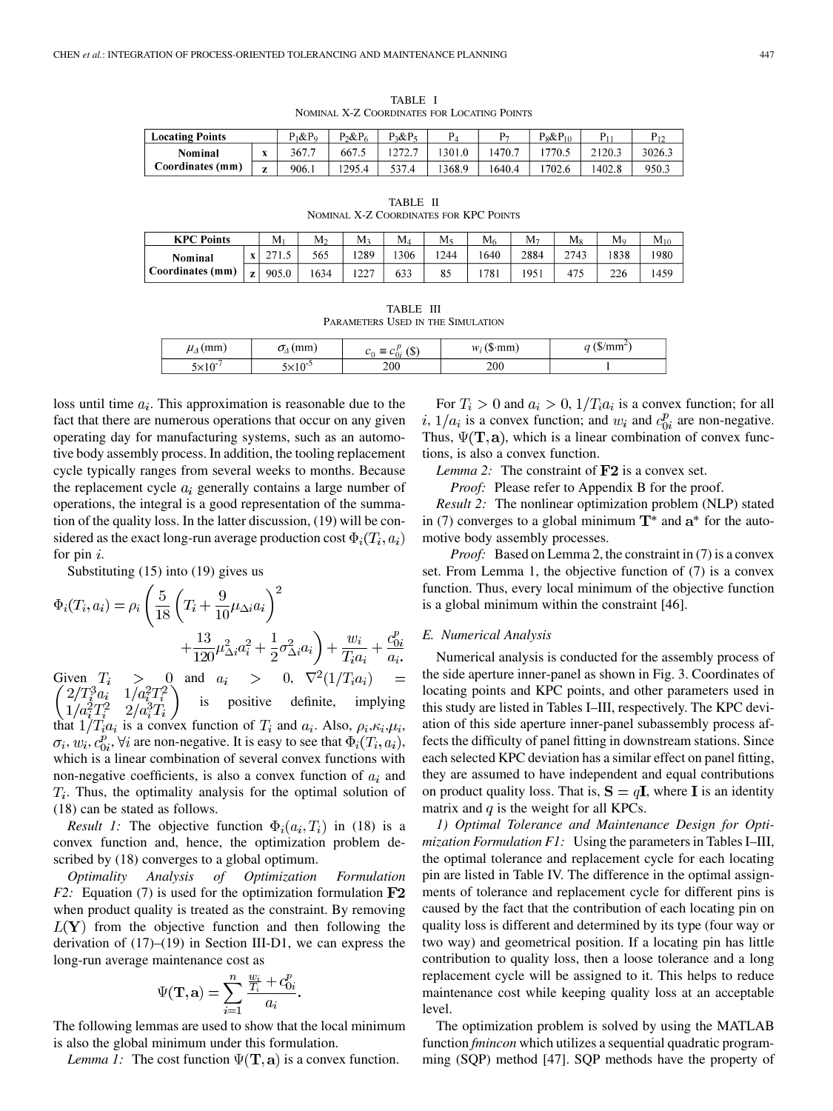| <b>Locating Points</b> | $P_1 \& P_9$ | $P_2\&P_6$ | $P_3\&P_5$ |        | $P_{\alpha}$ | $P_8\&P_{10}$ |        |        |
|------------------------|--------------|------------|------------|--------|--------------|---------------|--------|--------|
| Nominal                | 367.7        | 667.5      |            | 301.0  | .470.7       | 770.5         | 2120.3 | 3026.3 |
| Coordinates (mm)       | <br>906.1    | 295.4      |            | 1368.9 | 640.4        | 702.6         | 1402.8 | 950.3  |

TABLE I NOMINAL X-Z COORDINATES FOR LOCATING POINTS

| TABLE II                               |
|----------------------------------------|
| NOMINAL X-Z COORDINATES FOR KPC POINTS |

| <b>KPC Points</b> |                | M                    | M    | M        | Mа   | M٢   | M <sub>6</sub> | M·   | Ms   | Me   | $\rm M_{10}$ |
|-------------------|----------------|----------------------|------|----------|------|------|----------------|------|------|------|--------------|
| Nominal           |                | $\sim$ $\sim$<br>سيد | 565  | 289      | 1306 | 1244 | 1640           | 2884 | 2743 | 1838 | 1980         |
| Coordinates (mm)  | $\overline{ }$ | 905.0                | 1634 | 222<br>. | 633  | 85   | '781           | 1951 | 475  | 226  | 1459         |

TABLE III PARAMETERS USED IN THE SIMULATION

| $\mu_{\Delta}$ (mm) | (mm<br>$\sigma_{\scriptscriptstyle{\Lambda}}$ | /ጦ<br>$\overline{\phantom{a}}$<br>$\epsilon_{0i}$<br>IΦ.<br>⊵∩<br>$=$ | (S·mm)<br>W; | $\sqrt{2}$<br>$\sim$ S/mm <sup><math>\sim</math></sup> |
|---------------------|-----------------------------------------------|-----------------------------------------------------------------------|--------------|--------------------------------------------------------|
| $5\times10^{-7}$    | $5\times10^{-5}$                              | 200                                                                   | 200          |                                                        |

loss until time  $a_i$ . This approximation is reasonable due to the fact that there are numerous operations that occur on any given operating day for manufacturing systems, such as an automotive body assembly process. In addition, the tooling replacement cycle typically ranges from several weeks to months. Because the replacement cycle  $a_i$  generally contains a large number of operations, the integral is a good representation of the summation of the quality loss. In the latter discussion, (19) will be considered as the exact long-run average production cost  $\Phi_i(T_i, a_i)$ for pin  $i$ .

Substituting (15) into (19) gives us

$$
\Phi_i(T_i, a_i) = \rho_i \left( \frac{5}{18} \left( T_i + \frac{9}{10} \mu_{\Delta i} a_i \right)^2 + \frac{13}{120} \mu_{\Delta i}^2 a_i^2 + \frac{1}{2} \sigma_{\Delta i}^2 a_i \right) + \frac{w_i}{T_i a_i} + \frac{c_{0i}^p}{a_i}.
$$
\nGiven  $T_i$  > 0 and  $a_i$  > 0,  $\nabla^2 (1/T_i a_i) =$ 

\n
$$
\begin{pmatrix} 2/T_i^3 a_i & 1/a_i^2 T_i^2 \\ 1/a_i^2 T_i^2 & 2/a_i^3 T_i \end{pmatrix}
$$
\nis positive definite, implying that  $1/T_i a_i$  is a convex function of  $T_i$  and  $a_i$ . Also,  $\rho_i \kappa_i \mu_i$ ,

,  $w_i, c_{0i}^p, \forall i$  are non-negative. It is easy to see that  $\Phi_i(T_i, a_i)$ , which is a linear combination of several convex functions with non-negative coefficients, is also a convex function of  $a_i$  and  $T_i$ . Thus, the optimality analysis for the optimal solution of (18) can be stated as follows.

*Result 1:* The objective function  $\Phi_i(a_i, T_i)$  in (18) is a convex function and, hence, the optimization problem described by (18) converges to a global optimum.

*Optimality Analysis of Optimization Formulation F2:* Equation (7) is used for the optimization formulation **F2** when product quality is treated as the constraint. By removing  $L(Y)$  from the objective function and then following the derivation of (17)–(19) in Section III-D1, we can express the long-run average maintenance cost as

$$
\Psi(\mathbf{T}, \mathbf{a}) = \sum_{i=1}^{n} \frac{\frac{w_i}{T_i} + c_{0i}^p}{a_i}
$$

The following lemmas are used to show that the local minimum is also the global minimum under this formulation.

*Lemma 1:* The cost function  $\Psi(T, a)$  is a convex function.

For  $T_i > 0$  and  $a_i > 0$ ,  $1/T_i a_i$  is a convex function; for all  $i, 1/a_i$  is a convex function; and  $w_i$  and  $c_{0i}^p$  are non-negative. Thus,  $\Psi(T, a)$ , which is a linear combination of convex functions, is also a convex function.

*Lemma 2:* The constraint of  **is a convex set.** 

*Proof:* Please refer to Appendix B for the proof.

*Result 2:* The nonlinear optimization problem (NLP) stated in (7) converges to a global minimum  $\mathbf{T}^*$  and  $\mathbf{a}^*$  for the automotive body assembly processes.

*Proof:* Based on Lemma 2, the constraint in (7) is a convex set. From Lemma 1, the objective function of (7) is a convex function. Thus, every local minimum of the objective function is a global minimum within the constraint [[46\]](#page-13-0).

#### *E. Numerical Analysis*

Numerical analysis is conducted for the assembly process of the side aperture inner-panel as shown in Fig. 3. Coordinates of locating points and KPC points, and other parameters used in this study are listed in Tables I–III, respectively. The KPC deviation of this side aperture inner-panel subassembly process affects the difficulty of panel fitting in downstream stations. Since each selected KPC deviation has a similar effect on panel fitting, they are assumed to have independent and equal contributions on product quality loss. That is,  $S = qI$ , where I is an identity matrix and  $q$  is the weight for all KPCs.

*1) Optimal Tolerance and Maintenance Design for Optimization Formulation F1:* Using the parameters in Tables I–III, the optimal tolerance and replacement cycle for each locating pin are listed in Table IV. The difference in the optimal assignments of tolerance and replacement cycle for different pins is caused by the fact that the contribution of each locating pin on quality loss is different and determined by its type (four way or two way) and geometrical position. If a locating pin has little contribution to quality loss, then a loose tolerance and a long replacement cycle will be assigned to it. This helps to reduce maintenance cost while keeping quality loss at an acceptable level.

The optimization problem is solved by using the MATLAB function *fmincon* which utilizes a sequential quadratic programming (SQP) method [\[47](#page-13-0)]. SQP methods have the property of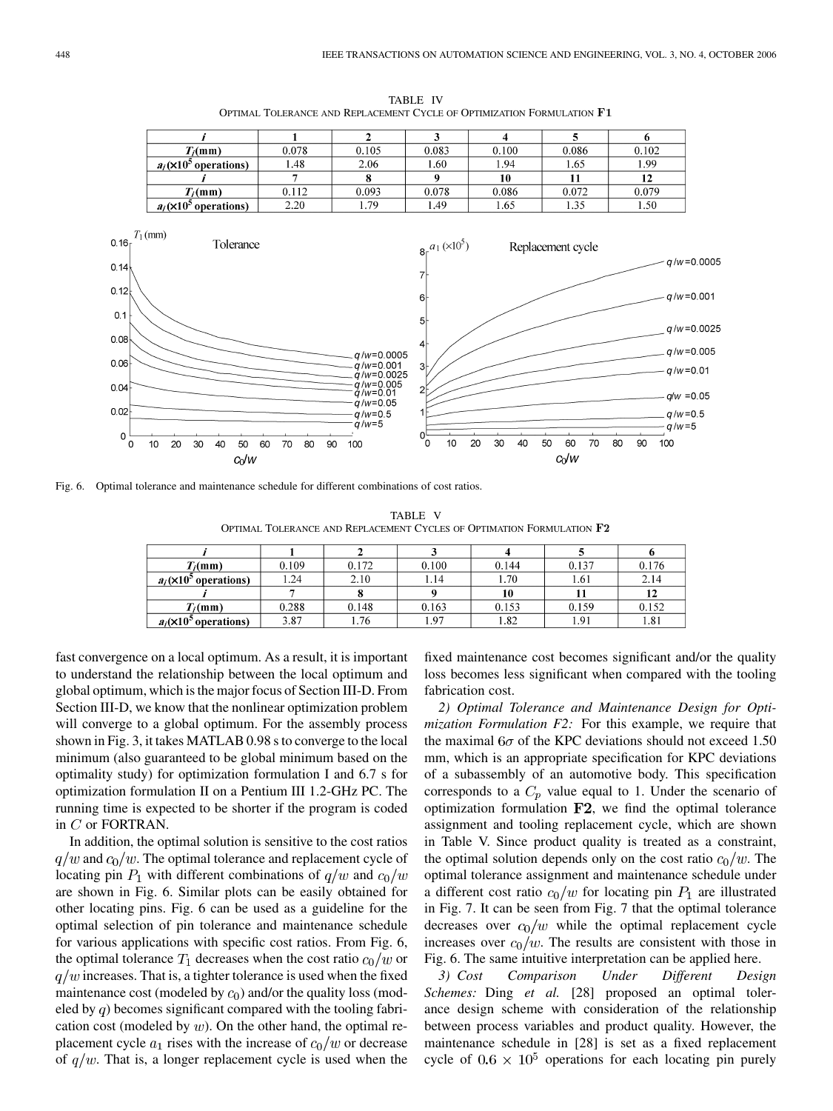

TABLE IV OPTIMAL TOLERANCE AND REPLACEMENT CYCLE OF OPTIMIZATION FORMULATION F1

Fig. 6. Optimal tolerance and maintenance schedule for different combinations of cost ratios.

TABLE V OPTIMAL TOLERANCE AND REPLACEMENT CYCLES OF OPTIMATION FORMULATION F2

| $T_i$ (mm)                          | 0.109 | 0.172 | 0.100 | 0.144 | 0.137 | 0.176 |
|-------------------------------------|-------|-------|-------|-------|-------|-------|
| $a_i$ (×10 <sup>5</sup> operations) | l.24  | 2.10  | 1.14  | 1.70  | l.61  | 2.14  |
|                                     |       |       |       | 10    |       | 12    |
| $T_i$ (mm)                          | 0.288 | 0.148 | 0.163 | 0.153 | 0.159 | 0.152 |
| $a_i$ (×10 <sup>5</sup> operations) | 3.87  | .76   | 1.97  | 1.82  | 1.91  | 1.81  |

fast convergence on a local optimum. As a result, it is important to understand the relationship between the local optimum and global optimum, which is the major focus of Section III-D. From Section III-D, we know that the nonlinear optimization problem will converge to a global optimum. For the assembly process shown in Fig. 3, it takes MATLAB 0.98 s to converge to the local minimum (also guaranteed to be global minimum based on the optimality study) for optimization formulation I and 6.7 s for optimization formulation II on a Pentium III 1.2-GHz PC. The running time is expected to be shorter if the program is coded in  $C$  or FORTRAN.

In addition, the optimal solution is sensitive to the cost ratios  $q/w$  and  $c_0/w$ . The optimal tolerance and replacement cycle of locating pin  $P_1$  with different combinations of  $q/w$  and  $c_0/w$ are shown in Fig. 6. Similar plots can be easily obtained for other locating pins. Fig. 6 can be used as a guideline for the optimal selection of pin tolerance and maintenance schedule for various applications with specific cost ratios. From Fig. 6, the optimal tolerance  $T_1$  decreases when the cost ratio  $c_0/w$  or  $q/w$  increases. That is, a tighter tolerance is used when the fixed maintenance cost (modeled by  $c_0$ ) and/or the quality loss (modeled by  $q$ ) becomes significant compared with the tooling fabrication cost (modeled by  $w$ ). On the other hand, the optimal replacement cycle  $a_1$  rises with the increase of  $c_0/w$  or decrease of  $q/w$ . That is, a longer replacement cycle is used when the fixed maintenance cost becomes significant and/or the quality loss becomes less significant when compared with the tooling fabrication cost.

*2) Optimal Tolerance and Maintenance Design for Optimization Formulation F2:* For this example, we require that the maximal  $6\sigma$  of the KPC deviations should not exceed 1.50 mm, which is an appropriate specification for KPC deviations of a subassembly of an automotive body. This specification corresponds to a  $C_p$  value equal to 1. Under the scenario of optimization formulation  $F2$ , we find the optimal tolerance assignment and tooling replacement cycle, which are shown in Table V. Since product quality is treated as a constraint, the optimal solution depends only on the cost ratio  $c_0/w$ . The optimal tolerance assignment and maintenance schedule under a different cost ratio  $c_0/w$  for locating pin  $P_1$  are illustrated in Fig. 7. It can be seen from Fig. 7 that the optimal tolerance decreases over  $c_0/w$  while the optimal replacement cycle increases over  $c_0/w$ . The results are consistent with those in Fig. 6. The same intuitive interpretation can be applied here.

*3) Cost Comparison Under Different Design Schemes:* Ding *et al.* [[28\]](#page-12-0) proposed an optimal tolerance design scheme with consideration of the relationship between process variables and product quality. However, the maintenance schedule in [\[28](#page-12-0)] is set as a fixed replacement cycle of  $0.6 \times 10^5$  operations for each locating pin purely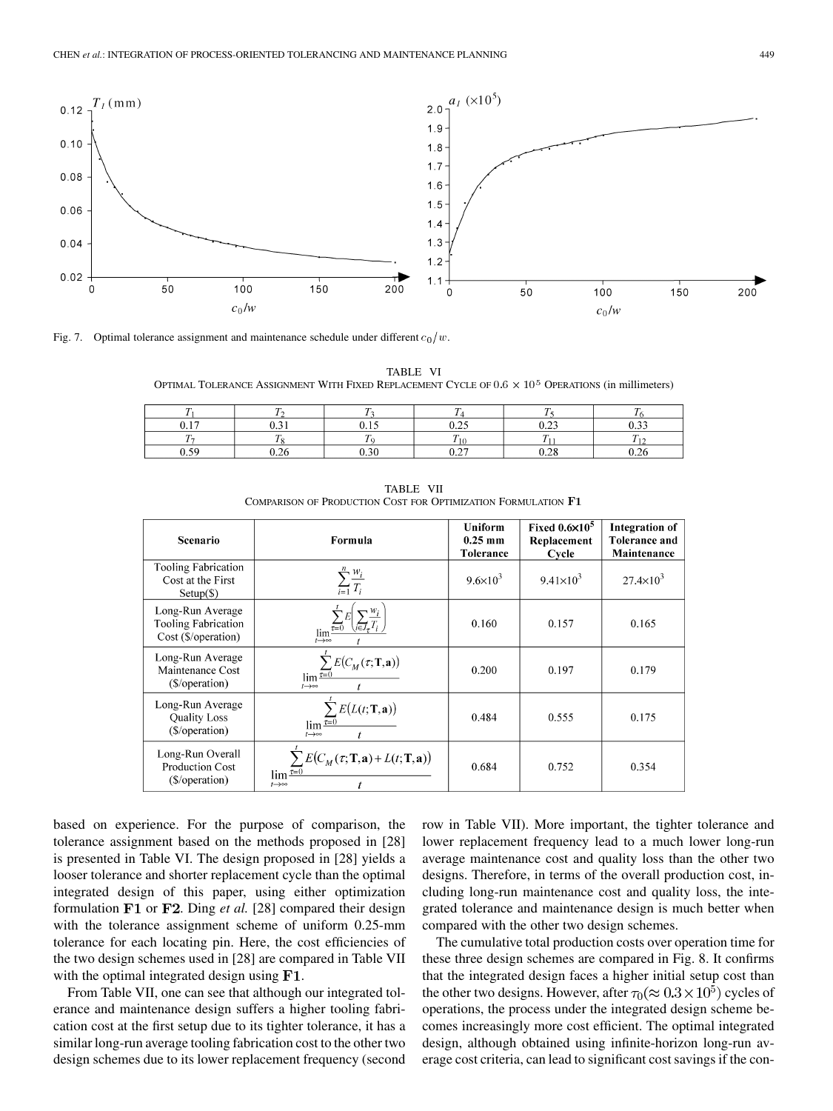

Fig. 7. Optimal tolerance assignment and maintenance schedule under different  $c_0/w$ .

TABLE VI OPTIMAL TOLERANCE ASSIGNMENT WITH FIXED REPLACEMENT CYCLE OF  $0.6 \times 10^5$  OPERATIONS (in millimeters)

| --        |                                                         | $\overline{ }$ |                  | --           |              |
|-----------|---------------------------------------------------------|----------------|------------------|--------------|--------------|
| 17<br>∪.⊥ | ົ່າ 1<br>$\mathsf{U} \cdot \mathsf{U} \cdot \mathsf{U}$ |                | 0.25<br>$v \sim$ | 0.22<br>∪.∠J | 0.22<br>v. J |
| $\sim$    |                                                         | $\sim$         | m<br>.           |              |              |
| 0.59      | $\sim$ $\sim$ $\sim$<br>$v \sim v$                      | 0.30           | 0.27<br>$v \sim$ | 0.20<br>U.∠O | 0.26         |

TABLE VII COMPARISON OF PRODUCTION COST FOR OPTIMIZATION FORMULATION F1

| <b>Scenario</b>                                                       | Formula                                                                                                                                              | Uniform<br>$0.25$ mm<br><b>Tolerance</b> | Fixed $0.6\times10^5$<br>Replacement<br>Cycle | <b>Integration of</b><br><b>Tolerance and</b><br>Maintenance |
|-----------------------------------------------------------------------|------------------------------------------------------------------------------------------------------------------------------------------------------|------------------------------------------|-----------------------------------------------|--------------------------------------------------------------|
| <b>Tooling Fabrication</b><br>Cost at the First<br>Setup(S)           | $\sum_{i=1}^n \frac{w_i}{T_i}$                                                                                                                       | $9.6 \times 10^3$                        | $9.41\times10^{3}$                            | $27.4 \times 10^3$                                           |
| Long-Run Average<br><b>Tooling Fabrication</b><br>Cost (\$/operation) | lim<br>$t\rightarrow\infty$                                                                                                                          | 0.160                                    | 0.157                                         | 0.165                                                        |
| Long-Run Average<br>Maintenance Cost<br>(\$/operation)                | $\sum_{\text{lim}} E(C_M(\tau; \mathbf{T}, \mathbf{a}))$<br>$t \rightarrow \infty$                                                                   | 0.200                                    | 0.197                                         | 0.179                                                        |
| Long-Run Average<br><b>Quality Loss</b><br>(\$/operation)             | $\sum_{t=0}^{t} E(L(t; \mathbf{T}, \mathbf{a}))$<br>$\lim \frac{\overline{x=0}}{2}$<br>$t\rightarrow\infty$                                          | 0.484                                    | 0.555                                         | 0.175                                                        |
| Long-Run Overall<br><b>Production Cost</b><br>(\$/operation)          | $\sum_{\tau=0}^{t} E(C_M(\tau; \mathbf{T}, \mathbf{a}) + L(t; \mathbf{T}, \mathbf{a}))$<br>$\lim \frac{\overline{x=0}}{x=0}$<br>$t\rightarrow\infty$ | 0.684                                    | 0.752                                         | 0.354                                                        |

based on experience. For the purpose of comparison, the tolerance assignment based on the methods proposed in [[28\]](#page-12-0) is presented in Table VI. The design proposed in [[28\]](#page-12-0) yields a looser tolerance and shorter replacement cycle than the optimal integrated design of this paper, using either optimization formulation  $F1$  or  $F2$ . Ding *et al.* [\[28](#page-12-0)] compared their design with the tolerance assignment scheme of uniform 0.25-mm tolerance for each locating pin. Here, the cost efficiencies of the two design schemes used in [[28\]](#page-12-0) are compared in Table VII with the optimal integrated design using **.** 

From Table VII, one can see that although our integrated tolerance and maintenance design suffers a higher tooling fabrication cost at the first setup due to its tighter tolerance, it has a similar long-run average tooling fabrication cost to the other two design schemes due to its lower replacement frequency (second

row in Table VII). More important, the tighter tolerance and lower replacement frequency lead to a much lower long-run average maintenance cost and quality loss than the other two designs. Therefore, in terms of the overall production cost, including long-run maintenance cost and quality loss, the integrated tolerance and maintenance design is much better when compared with the other two design schemes.

The cumulative total production costs over operation time for these three design schemes are compared in Fig. 8. It confirms that the integrated design faces a higher initial setup cost than the other two designs. However, after  $\tau_0 (\approx 0.3 \times 10^5)$  cycles of operations, the process under the integrated design scheme becomes increasingly more cost efficient. The optimal integrated design, although obtained using infinite-horizon long-run average cost criteria, can lead to significant cost savings if the con-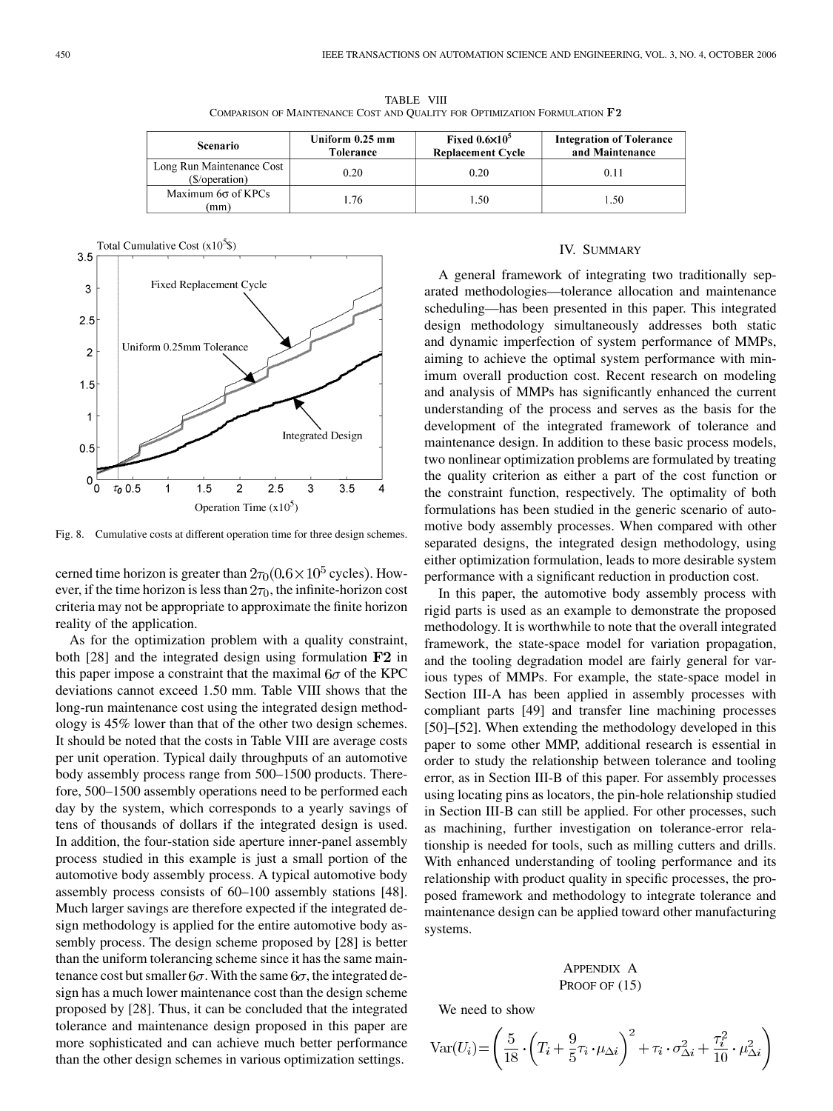TABLE VIII COMPARISON OF MAINTENANCE COST AND QUALITY FOR OPTIMIZATION FORMULATION F2

| <b>Scenario</b>                             | Uniform 0.25 mm<br>Tolerance | Fixed $0.6\times10^5$<br><b>Replacement Cycle</b> | <b>Integration of Tolerance</b><br>and Maintenance |
|---------------------------------------------|------------------------------|---------------------------------------------------|----------------------------------------------------|
| Long Run Maintenance Cost<br>(\$/operation) | 0.20                         | 0.20                                              | 0.11                                               |
| Maximum $6\sigma$ of KPCs<br>(mm)           | 1 76                         | 1.50                                              | .50                                                |



Fig. 8. Cumulative costs at different operation time for three design schemes.

cerned time horizon is greater than  $2\tau_0(0.6 \times 10^5 \text{ cycles})$ . However, if the time horizon is less than  $2\tau_0$ , the infinite-horizon cost criteria may not be appropriate to approximate the finite horizon reality of the application.

As for the optimization problem with a quality constraint, both [[28](#page-12-0)] and the integrated design using formulation  $\mathbf{F2}$  in this paper impose a constraint that the maximal  $6\sigma$  of the KPC deviations cannot exceed 1.50 mm. Table VIII shows that the long-run maintenance cost using the integrated design methodology is 45% lower than that of the other two design schemes. It should be noted that the costs in Table VIII are average costs per unit operation. Typical daily throughputs of an automotive body assembly process range from 500–1500 products. Therefore, 500–1500 assembly operations need to be performed each day by the system, which corresponds to a yearly savings of tens of thousands of dollars if the integrated design is used. In addition, the four-station side aperture inner-panel assembly process studied in this example is just a small portion of the automotive body assembly process. A typical automotive body assembly process consists of 60–100 assembly stations [[48\]](#page-13-0). Much larger savings are therefore expected if the integrated design methodology is applied for the entire automotive body assembly process. The design scheme proposed by [\[28](#page-12-0)] is better than the uniform tolerancing scheme since it has the same maintenance cost but smaller  $6\sigma$ . With the same  $6\sigma$ , the integrated design has a much lower maintenance cost than the design scheme proposed by [[28\]](#page-12-0). Thus, it can be concluded that the integrated tolerance and maintenance design proposed in this paper are more sophisticated and can achieve much better performance than the other design schemes in various optimization settings.

#### IV. SUMMARY

A general framework of integrating two traditionally separated methodologies—tolerance allocation and maintenance scheduling—has been presented in this paper. This integrated design methodology simultaneously addresses both static and dynamic imperfection of system performance of MMPs, aiming to achieve the optimal system performance with minimum overall production cost. Recent research on modeling and analysis of MMPs has significantly enhanced the current understanding of the process and serves as the basis for the development of the integrated framework of tolerance and maintenance design. In addition to these basic process models, two nonlinear optimization problems are formulated by treating the quality criterion as either a part of the cost function or the constraint function, respectively. The optimality of both formulations has been studied in the generic scenario of automotive body assembly processes. When compared with other separated designs, the integrated design methodology, using either optimization formulation, leads to more desirable system performance with a significant reduction in production cost.

In this paper, the automotive body assembly process with rigid parts is used as an example to demonstrate the proposed methodology. It is worthwhile to note that the overall integrated framework, the state-space model for variation propagation, and the tooling degradation model are fairly general for various types of MMPs. For example, the state-space model in Section III-A has been applied in assembly processes with compliant parts [\[49](#page-13-0)] and transfer line machining processes [[50\]](#page-13-0)–[[52](#page-13-0)]. When extending the methodology developed in this paper to some other MMP, additional research is essential in order to study the relationship between tolerance and tooling error, as in Section III-B of this paper. For assembly processes using locating pins as locators, the pin-hole relationship studied in Section III-B can still be applied. For other processes, such as machining, further investigation on tolerance-error relationship is needed for tools, such as milling cutters and drills. With enhanced understanding of tooling performance and its relationship with product quality in specific processes, the proposed framework and methodology to integrate tolerance and maintenance design can be applied toward other manufacturing systems.

#### APPENDIX A PROOF OF  $(15)$

We need to show

$$
\text{Var}(U_i) = \left(\frac{5}{18} \cdot \left(T_i + \frac{9}{5}\tau_i \cdot \mu_{\Delta i}\right)^2 + \tau_i \cdot \sigma_{\Delta i}^2 + \frac{\tau_i^2}{10} \cdot \mu_{\Delta i}^2\right)
$$

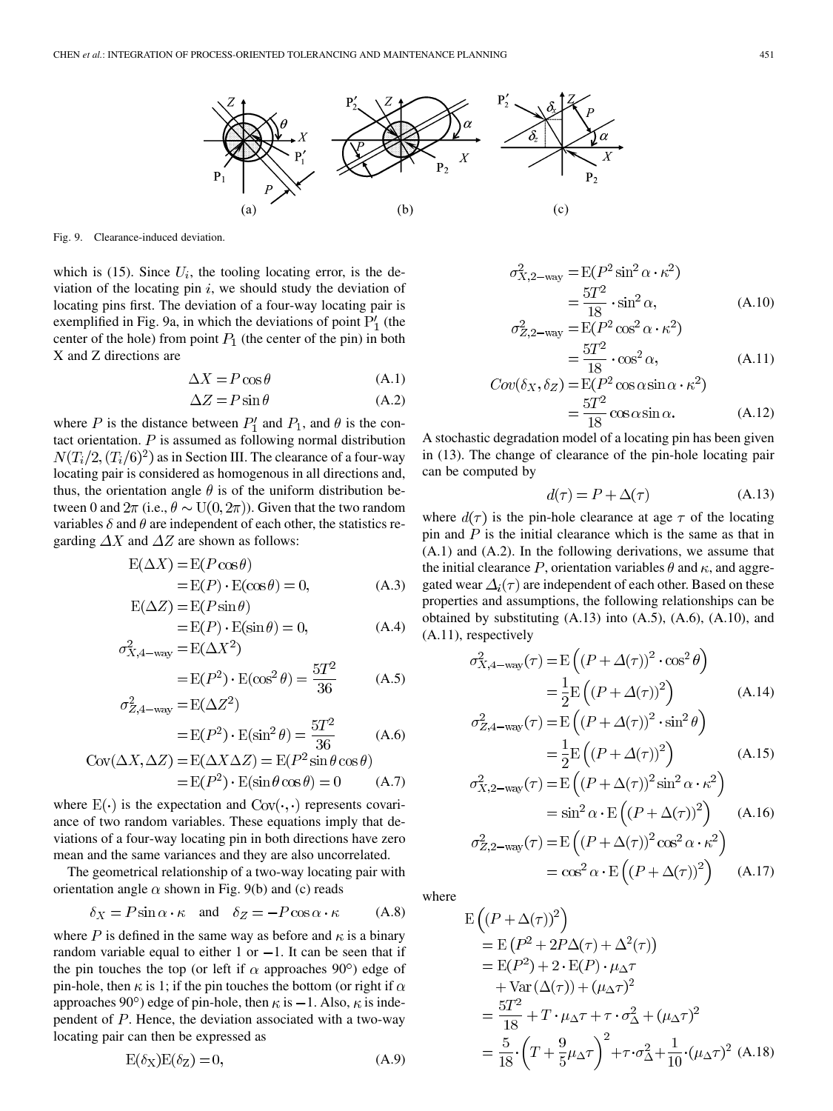

Fig. 9. Clearance-induced deviation.

 $\sigma_Z^2$ 

which is (15). Since  $U_i$ , the tooling locating error, is the deviation of the locating pin  $i$ , we should study the deviation of locating pins first. The deviation of a four-way locating pair is exemplified in Fig. 9a, in which the deviations of point  $P'_1$  (the center of the hole) from point  $P_1$  (the center of the pin) in both X and Z directions are

$$
\Delta X = P \cos \theta \tag{A.1}
$$

$$
\Delta Z = P \sin \theta \tag{A.2}
$$

where P is the distance between  $P'_1$  and  $P_1$ , and  $\theta$  is the contact orientation.  $P$  is assumed as following normal distribution  $N(T_i/2, (T_i/6)^2)$  as in Section III. The clearance of a four-way locating pair is considered as homogenous in all directions and, thus, the orientation angle  $\theta$  is of the uniform distribution between 0 and  $2\pi$  (i.e.,  $\theta \sim U(0, 2\pi)$ ). Given that the two random variables  $\delta$  and  $\theta$  are independent of each other, the statistics regarding  $\Delta X$  and  $\Delta Z$  are shown as follows:

$$
E(\Delta X) = E(P \cos \theta)
$$
  
= E(P) \cdot E(\cos \theta) = 0, (A.3)  

$$
E(\Delta Z) = E(P \sin \theta)
$$

$$
E(\Delta E) = E(P) \cdot E(\sin \theta) = 0,
$$
\n
$$
\sigma_{X.4-\text{wav}}^2 = E(\Delta X^2)
$$
\n(A.4)

$$
= E(P^2) \cdot E(\cos^2 \theta) = \frac{5T^2}{36}
$$
 (A.5)

$$
4-\text{way} = \text{E}(\Delta Z^{-})
$$

$$
= \text{E}(P^{2}) \cdot \text{E}(\sin^{2}\theta) = \frac{5T^{2}}{36}
$$
(A.6)

$$
Cov(\Delta X, \Delta Z) = E(\Delta X \Delta Z) = E(P^2 \sin \theta \cos \theta)
$$
  
= E(P<sup>2</sup>) \cdot E(sin \theta cos \theta) = 0 (A.7)

where  $E(\cdot)$  is the expectation and  $Cov(\cdot, \cdot)$  represents covariance of two random variables. These equations imply that deviations of a four-way locating pin in both directions have zero mean and the same variances and they are also uncorrelated.

The geometrical relationship of a two-way locating pair with orientation angle  $\alpha$  shown in Fig. 9(b) and (c) reads

$$
\delta_X = P \sin \alpha \cdot \kappa \quad \text{and} \quad \delta_Z = -P \cos \alpha \cdot \kappa \tag{A.8}
$$

where P is defined in the same way as before and  $\kappa$  is a binary random variable equal to either 1 or  $-1$ . It can be seen that if the pin touches the top (or left if  $\alpha$  approaches 90<sup>o</sup>) edge of pin-hole, then  $\kappa$  is 1; if the pin touches the bottom (or right if  $\alpha$ approaches 90 $^{\circ}$ ) edge of pin-hole, then  $\kappa$  is  $-1$ . Also,  $\kappa$  is independent of  $P$ . Hence, the deviation associated with a two-way locating pair can then be expressed as

$$
E(\delta_X)E(\delta_Z) = 0,\t(A.9)
$$

$$
\sigma_{X,2-\text{way}}^2 = \mathcal{E}(P^2 \sin^2 \alpha \cdot \kappa^2)
$$

$$
= \frac{5T^2}{18} \cdot \sin^2 \alpha,
$$
(A.10)

$$
= \frac{5T^2}{18} \cdot \cos^2 \alpha,
$$
 (A.11)

$$
Cov(\delta_X, \delta_Z) = E(P^2 \cos \alpha \sin \alpha \cdot \kappa^2)
$$
  
= 
$$
\frac{5T^2}{18} \cos \alpha \sin \alpha.
$$
 (A.12)

A stochastic degradation model of a locating pin has been given in (13). The change of clearance of the pin-hole locating pair can be computed by

$$
d(\tau) = P + \Delta(\tau) \tag{A.13}
$$

where  $d(\tau)$  is the pin-hole clearance at age  $\tau$  of the locating pin and  $P$  is the initial clearance which is the same as that in (A.1) and (A.2). In the following derivations, we assume that the initial clearance P, orientation variables  $\theta$  and  $\kappa$ , and aggregated wear  $\Delta_i(\tau)$  are independent of each other. Based on these properties and assumptions, the following relationships can be obtained by substituting  $(A.13)$  into  $(A.5)$ ,  $(A.6)$ ,  $(A.10)$ , and (A.11), respectively

$$
\sigma_{X,4-\text{way}}^2(\tau) = \mathcal{E}\left((P + \Delta(\tau))^2 \cdot \cos^2 \theta\right)
$$

$$
= \frac{1}{2} \mathcal{E}\left((P + \Delta(\tau))^2\right) \tag{A.14}
$$

$$
\sigma_{Z,4-\text{way}}^2(\tau) = \mathcal{E}\left((P + \Delta(\tau))^2 \cdot \sin^2 \theta\right)
$$

$$
= \frac{1}{2} \mathcal{E}\left((P + \Delta(\tau))^2\right) \tag{A.15}
$$

$$
\sigma_{X,2-\text{way}}^2(\tau) = \mathcal{E}\left((P + \Delta(\tau))^2 \sin^2 \alpha \cdot \kappa^2\right)
$$

$$
= \sin^2 \alpha \cdot \mathcal{E}\left((P + \Delta(\tau))^2\right) \quad (A.16)
$$

$$
\sigma_{Z,2-\text{way}}^2(\tau) = \mathcal{E}\left((P + \Delta(\tau))^2 \cos^2 \alpha \cdot \kappa^2\right)
$$

$$
= \cos^2 \alpha \cdot \mathcal{E}\left((P + \Delta(\tau))^2\right) \quad (A.17)
$$

where

$$
E\left((P+\Delta(\tau))^2\right)
$$
  
= E (P<sup>2</sup> + 2P\Delta(\tau) + \Delta^2(\tau))  
= E(P<sup>2</sup>) + 2 \cdot E(P) \cdot \mu\_{\Delta}\tau  
+ Var (\Delta(\tau)) + (\mu\_{\Delta}\tau)^2  
= \frac{5T^2}{18} + T \cdot \mu\_{\Delta}\tau + \tau \cdot \sigma\_{\Delta}^2 + (\mu\_{\Delta}\tau)^2  
= \frac{5}{18} \cdot \left(T + \frac{9}{5}\mu\_{\Delta}\tau\right)^2 + \tau \cdot \sigma\_{\Delta}^2 + \frac{1}{10} \cdot (\mu\_{\Delta}\tau)^2(A.18)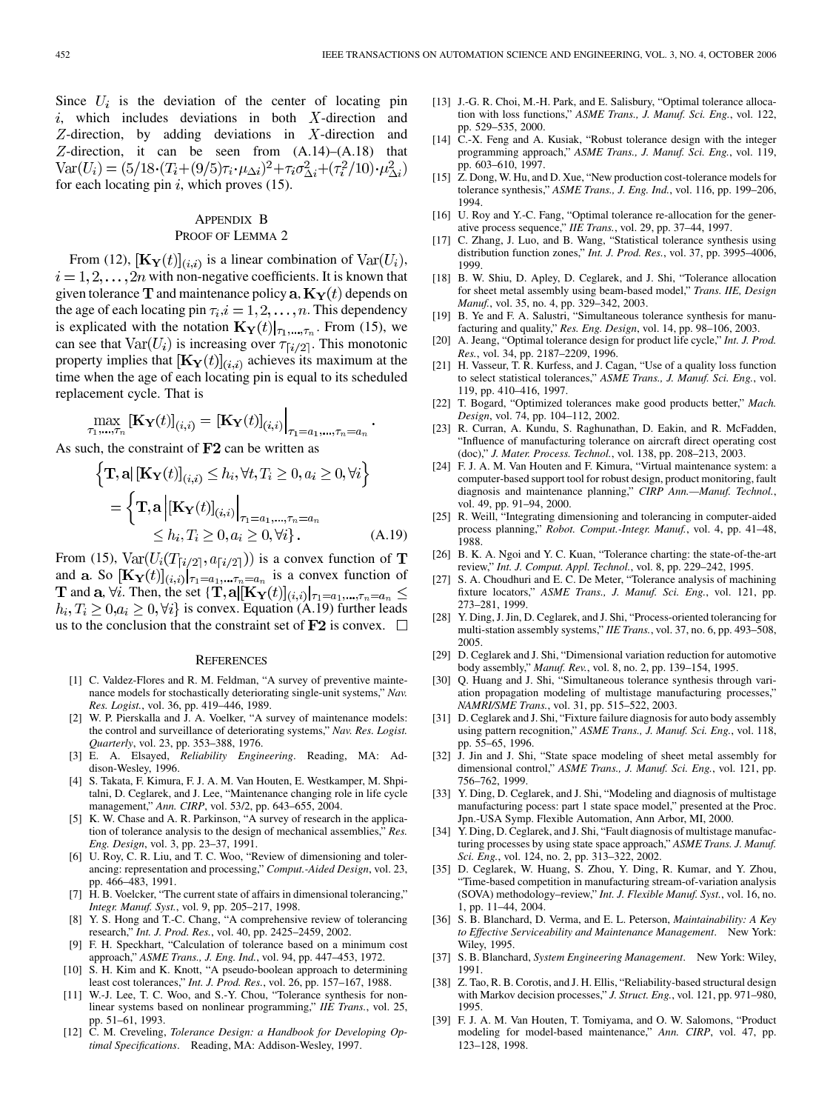<span id="page-12-0"></span>Since  $U_i$  is the deviation of the center of locating pin  $i$ , which includes deviations in both  $X$ -direction and  $Z$ -direction, by adding deviations in  $X$ -direction and Z-direction, it can be seen from  $(A.14)$ – $(A.18)$  that  $\text{Var}(U_i) = (5/18 \cdot (T_i + (9/5)\tau_i \cdot \mu_{\Delta i})^2 + \tau_i \sigma_{\Delta i}^2 + (\tau_i^2/10) \cdot \mu_{\Delta i}^2)$ for each locating pin  $i$ , which proves (15).

## APPENDIX B PROOF OF LEMMA 2

From (12),  $[\mathbf{K}_{\mathbf{Y}}(t)]_{(i,i)}$  is a linear combination of  $\text{Var}(U_i)$ ,  $i=1,2,\ldots,2n$  with non-negative coefficients. It is known that given tolerance  $\mathbf T$  and maintenance policy  $\mathbf a, \mathbf K_{\mathbf Y}(t)$  depends on the age of each locating pin  $\tau_i$ ,  $i = 1, 2, \ldots, n$ . This dependency is explicated with the notation  $\mathbf{K}_{\mathbf{Y}}(t)|_{\tau_1,\dots,\tau_n}$ . From (15), we can see that  $Var(U_i)$  is increasing over  $\tau_{\lceil i/2 \rceil}$ . This monotonic property implies that  $[\mathbf{K}_{\mathbf{Y}}(t)]_{(i,i)}$  achieves its maximum at the time when the age of each locating pin is equal to its scheduled replacement cycle. That is

$$
\max_{\tau_1,\ldots,\tau_n} \left[\mathbf{K}_\mathbf{Y}(t)\right]_{(i,i)} = \left[\mathbf{K}_\mathbf{Y}(t)\right]_{(i,i)}\Big|_{\tau_1 = a_1,\ldots,\tau_n = a_n}
$$

As such, the constraint of  $F2$  can be written as

$$
\left\{ \mathbf{T}, \mathbf{a} \middle| \left[ \mathbf{K}_{\mathbf{Y}}(t) \right]_{(i,i)} \leq h_i, \forall t, T_i \geq 0, a_i \geq 0, \forall i \right\}
$$
\n
$$
= \left\{ \mathbf{T}, \mathbf{a} \left| \left[ \mathbf{K}_{\mathbf{Y}}(t) \right]_{(i,i)} \right|_{\tau_1 = a_1, \dots, \tau_n = a_n}
$$
\n
$$
\leq h_i, T_i \geq 0, a_i \geq 0, \forall i \right\}. \tag{A.19}
$$

 $\mathbf{I}$ 

From (15),  $Var(U_i(T_{\lceil i/2 \rceil}, a_{\lceil i/2 \rceil}))$  is a convex function of **T** and a. So  $[\mathbf{K}_{\mathbf{Y}}(t)]_{(i,i)}|_{\tau_1=a_1,\dots,\tau_n=a_n}$  is a convex function of **T** and **a**,  $\forall i$ . Then, the set  $\{\mathbf{T}, \mathbf{a} | [\mathbf{K}_{\mathbf{Y}}(t)]_{(i,i)} |_{\tau_1 = a_1, ..., \tau_n = a_n} \leq$  $h_i, T_i \geq 0, a_i \geq 0, \forall i$  is convex. Equation (A.19) further leads us to the conclusion that the constraint set of  $F2$  is convex.  $\Box$ 

#### **REFERENCES**

- [1] C. Valdez-Flores and R. M. Feldman, "A survey of preventive maintenance models for stochastically deteriorating single-unit systems," *Nav. Res. Logist.*, vol. 36, pp. 419–446, 1989.
- [2] W. P. Pierskalla and J. A. Voelker, "A survey of maintenance models: the control and surveillance of deteriorating systems," *Nav. Res. Logist. Quarterly*, vol. 23, pp. 353–388, 1976.
- [3] E. A. Elsayed, *Reliability Engineering*. Reading, MA: Addison-Wesley, 1996.
- [4] S. Takata, F. Kimura, F. J. A. M. Van Houten, E. Westkamper, M. Shpitalni, D. Ceglarek, and J. Lee, "Maintenance changing role in life cycle management," *Ann. CIRP*, vol. 53/2, pp. 643–655, 2004.
- [5] K. W. Chase and A. R. Parkinson, "A survey of research in the application of tolerance analysis to the design of mechanical assemblies," *Res. Eng. Design*, vol. 3, pp. 23–37, 1991.
- [6] U. Roy, C. R. Liu, and T. C. Woo, "Review of dimensioning and tolerancing: representation and processing," *Comput.-Aided Design*, vol. 23, pp. 466–483, 1991.
- [7] H. B. Voelcker, "The current state of affairs in dimensional tolerancing," *Integr. Manuf. Syst.*, vol. 9, pp. 205–217, 1998.
- [8] Y. S. Hong and T.-C. Chang, "A comprehensive review of tolerancing research," *Int. J. Prod. Res.*, vol. 40, pp. 2425–2459, 2002.
- [9] F. H. Speckhart, "Calculation of tolerance based on a minimum cost approach," *ASME Trans., J. Eng. Ind.*, vol. 94, pp. 447–453, 1972.
- [10] S. H. Kim and K. Knott, "A pseudo-boolean approach to determining least cost tolerances," *Int. J. Prod. Res.*, vol. 26, pp. 157–167, 1988.
- [11] W.-J. Lee, T. C. Woo, and S.-Y. Chou, "Tolerance synthesis for nonlinear systems based on nonlinear programming," *IIE Trans.*, vol. 25, pp. 51–61, 1993.
- [12] C. M. Creveling, *Tolerance Design: a Handbook for Developing Optimal Specifications*. Reading, MA: Addison-Wesley, 1997.
- [13] J.-G. R. Choi, M.-H. Park, and E. Salisbury, "Optimal tolerance allocation with loss functions," *ASME Trans., J. Manuf. Sci. Eng.*, vol. 122, pp. 529–535, 2000.
- [14] C.-X. Feng and A. Kusiak, "Robust tolerance design with the integer programming approach," *ASME Trans., J. Manuf. Sci. Eng.*, vol. 119, pp. 603–610, 1997.
- [15] Z. Dong, W. Hu, and D. Xue, "New production cost-tolerance models for tolerance synthesis," *ASME Trans., J. Eng. Ind.*, vol. 116, pp. 199–206, 1994.
- [16] U. Roy and Y.-C. Fang, "Optimal tolerance re-allocation for the generative process sequence," *IIE Trans.*, vol. 29, pp. 37–44, 1997.
- [17] C. Zhang, J. Luo, and B. Wang, "Statistical tolerance synthesis using distribution function zones," *Int. J. Prod. Res.*, vol. 37, pp. 3995–4006, 1999.
- [18] B. W. Shiu, D. Apley, D. Ceglarek, and J. Shi, "Tolerance allocation for sheet metal assembly using beam-based model," *Trans. IIE, Design Manuf.*, vol. 35, no. 4, pp. 329–342, 2003.
- [19] B. Ye and F. A. Salustri, "Simultaneous tolerance synthesis for manufacturing and quality," *Res. Eng. Design*, vol. 14, pp. 98–106, 2003.
- [20] A. Jeang, "Optimal tolerance design for product life cycle," *Int. J. Prod. Res.*, vol. 34, pp. 2187–2209, 1996.
- [21] H. Vasseur, T. R. Kurfess, and J. Cagan, "Use of a quality loss function to select statistical tolerances," *ASME Trans., J. Manuf. Sci. Eng.*, vol. 119, pp. 410–416, 1997.
- [22] T. Bogard, "Optimized tolerances make good products better," *Mach. Design*, vol. 74, pp. 104–112, 2002.
- [23] R. Curran, A. Kundu, S. Raghunathan, D. Eakin, and R. McFadden, "Influence of manufacturing tolerance on aircraft direct operating cost (doc)," *J. Mater. Process. Technol.*, vol. 138, pp. 208–213, 2003.
- [24] F. J. A. M. Van Houten and F. Kimura, "Virtual maintenance system: a computer-based support tool for robust design, product monitoring, fault diagnosis and maintenance planning," *CIRP Ann.—Manuf. Technol.*, vol. 49, pp. 91–94, 2000.
- [25] R. Weill, "Integrating dimensioning and tolerancing in computer-aided process planning," *Robot. Comput.-Integr. Manuf.*, vol. 4, pp. 41–48, 1988.
- [26] B. K. A. Ngoi and Y. C. Kuan, "Tolerance charting: the state-of-the-art review," *Int. J. Comput. Appl. Technol.*, vol. 8, pp. 229–242, 1995.
- [27] S. A. Choudhuri and E. C. De Meter, "Tolerance analysis of machining fixture locators," *ASME Trans., J. Manuf. Sci. Eng.*, vol. 121, pp. 273–281, 1999.
- [28] Y. Ding, J. Jin, D. Ceglarek, and J. Shi, "Process-oriented tolerancing for multi-station assembly systems," *IIE Trans.*, vol. 37, no. 6, pp. 493–508, 2005.
- [29] D. Ceglarek and J. Shi, "Dimensional variation reduction for automotive body assembly," *Manuf. Rev.*, vol. 8, no. 2, pp. 139–154, 1995.
- [30] Q. Huang and J. Shi, "Simultaneous tolerance synthesis through variation propagation modeling of multistage manufacturing processes," *NAMRI/SME Trans.*, vol. 31, pp. 515–522, 2003.
- [31] D. Ceglarek and J. Shi, "Fixture failure diagnosis for auto body assembly using pattern recognition," *ASME Trans., J. Manuf. Sci. Eng.*, vol. 118, pp. 55–65, 1996.
- [32] J. Jin and J. Shi, "State space modeling of sheet metal assembly for dimensional control," *ASME Trans., J. Manuf. Sci. Eng.*, vol. 121, pp. 756–762, 1999.
- [33] Y. Ding, D. Ceglarek, and J. Shi, "Modeling and diagnosis of multistage manufacturing pocess: part 1 state space model," presented at the Proc. Jpn.-USA Symp. Flexible Automation, Ann Arbor, MI, 2000.
- [34] Y. Ding, D. Ceglarek, and J. Shi, "Fault diagnosis of multistage manufacturing processes by using state space approach," *ASME Trans. J. Manuf. Sci. Eng.*, vol. 124, no. 2, pp. 313–322, 2002.
- [35] D. Ceglarek, W. Huang, S. Zhou, Y. Ding, R. Kumar, and Y. Zhou, "Time-based competition in manufacturing stream-of-variation analysis (SOVA) methodology–review," *Int. J. Flexible Manuf. Syst.*, vol. 16, no. 1, pp. 11–44, 2004.
- [36] S. B. Blanchard, D. Verma, and E. L. Peterson, *Maintainability: A Key to Effective Serviceability and Maintenance Management*. New York: Wiley, 1995.
- [37] S. B. Blanchard, *System Engineering Management*. New York: Wiley, 1991.
- [38] Z. Tao, R. B. Corotis, and J. H. Ellis, "Reliability-based structural design with Markov decision processes," *J. Struct. Eng.*, vol. 121, pp. 971–980, 1995.
- [39] F. J. A. M. Van Houten, T. Tomiyama, and O. W. Salomons, "Product modeling for model-based maintenance," *Ann. CIRP*, vol. 47, pp. 123–128, 1998.